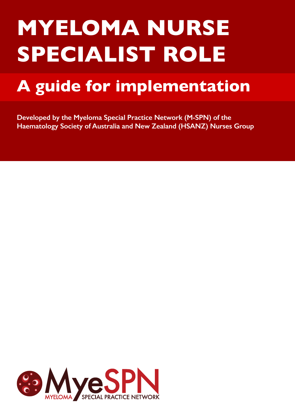# **MYELOMA NURSE SPECIALIST ROLE**

# **A guide for implementation**

**Developed by the Myeloma Special Practice Network (M-SPN) of the Haematology Society of Australia and New Zealand (HSANZ) Nurses Group**

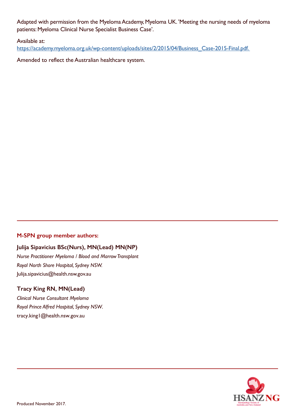Adapted with permission from the Myeloma Academy, Myeloma UK. 'Meeting the nursing needs of myeloma patients: Myeloma Clinical Nurse Specialist Business Case'.

#### Available at:

https://academy.myeloma.org.uk/wp-content/uploads/sites/2/2015/04/Business\_Case-2015-Final.pdf.

Amended to reflect the Australian healthcare system.

#### **M-SPN group member authors:**

#### **Julija Sipavicius BSc(Nurs), MN(Lead) MN(NP)**

*Nurse Practitioner Myeloma / Blood and Marrow Transplant Royal North Shore Hospital, Sydney NSW.* Julija.sipavicius@health.nsw.gov.au

#### **Tracy King RN, MN(Lead)**

*Clinical Nurse Consultant Myeloma Royal Prince Alfred Hospital, Sydney NSW.* tracy.king1@health.nsw.gov.au

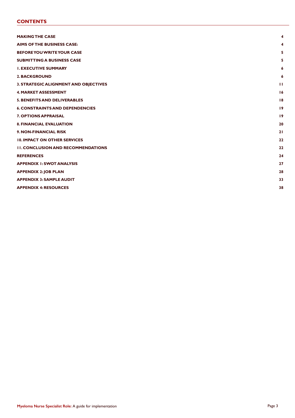#### **CONTENTS**

| <b>MAKING THE CASE</b>                    | 4            |
|-------------------------------------------|--------------|
| <b>AIMS OF THE BUSINESS CASE:</b>         | 4            |
| <b>BEFORE YOU WRITE YOUR CASE</b>         | 5            |
| <b>SUBMITTING A BUSINESS CASE</b>         | 5            |
| <b>I. EXECUTIVE SUMMARY</b>               | 6            |
| <b>2. BACKGROUND</b>                      | 6            |
| 3. STRATEGIC ALIGNMENT AND OBJECTIVES     | $\mathbf{H}$ |
| <b>4. MARKET ASSESSMENT</b>               | 16           |
| <b>5. BENEFITS AND DELIVERABLES</b>       | 18           |
| <b>6. CONSTRAINTS AND DEPENDENCIES</b>    | 19           |
| <b>7. OPTIONS APPRAISAL</b>               | 19           |
| <b>8. FINANCIAL EVALUATION</b>            | 20           |
| 9. NON-FINANCIAL RISK                     | 21           |
| <b>10. IMPACT ON OTHER SERVICES</b>       | 22           |
| <b>II. CONCLUSION AND RECOMMENDATIONS</b> | 22           |
| <b>REFERENCES</b>                         | 24           |
| <b>APPENDIX I: SWOT ANALYSIS</b>          | 27           |
| <b>APPENDIX 2: JOB PLAN</b>               | 28           |
| <b>APPENDIX 3: SAMPLE AUDIT</b>           | 33           |
| <b>APPENDIX 4: RESOURCES</b>              | 38           |
|                                           |              |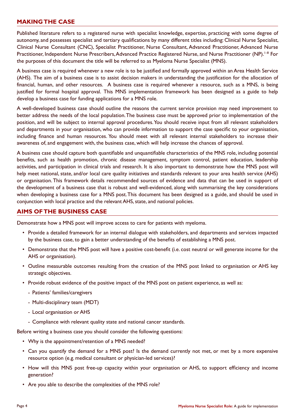#### **MAKING THE CASE**

Published literature refers to a registered nurse with specialist knowledge, expertise, practicing with some degree of autonomy, and possesses specialist and tertiary qualifications by many different titles including: Clinical Nurse Specialist, Clinical Nurse Consultant (CNC), Specialist Practitioner, Nurse Consultant, Advanced Practitioner, Advanced Nurse Practitioner, Independent Nurse Prescribers, Advanced Practice Registered Nurse, and Nurse Practitioner (NP).<sup>1–8</sup> For the purposes of this document the title will be referred to as Myeloma Nurse Specialist (MNS).

A business case is required whenever a new role is to be justified and formally approved within an Area Health Service (AHS). The aim of a business case is to assist decision makers in understanding the justification for the allocation of financial, human, and other resources. A business case is required whenever a resource, such as a MNS, is being justified for formal hospital approval. This MNS implementation framework has been designed as a guide to help develop a business case for funding applications for a MNS role.

A well-developed business case should outline the reasons the current service provision may need improvement to better address the needs of the local population. The business case must be approved prior to implementation of the position, and will be subject to internal approval procedures. You should receive input from all relevant stakeholders and departments in your organisation, who can provide information to support the case specific to your organisation, including finance and human resources. You should meet with all relevant internal stakeholders to increase their awareness of, and engagement with, the business case, which will help increase the chances of approval.

A business case should capture both quantifiable and unquantifiable characteristics of the MNS role, including potential benefits, such as health promotion, chronic disease management, symptom control, patient education, leadership activities, and participation in clinical trials and research. It is also important to demonstrate how the MNS post will help meet national, state, and/or local care quality initiatives and standards relevant to your area health service (AHS) or organisation. This framework details recommended sources of evidence and data that can be used in support of the development of a business case that is robust and well-evidenced, along with summarising the key considerations when developing a business case for a MNS post. This document has been designed as a guide, and should be used in conjunction with local practice and the relevant AHS, state, and national policies.

#### **AIMS OF THE BUSINESS CASE**

Demonstrate how a MNS post will improve access to care for patients with myeloma.

- Provide a detailed framework for an internal dialogue with stakeholders, and departments and services impacted by the business case, to gain a better understanding of the benefits of establishing a MNS post.
- Demonstrate that the MNS post will have a positive cost-benefit (i.e. cost neutral or will generate income for the AHS or organisation).
- Outline measurable outcomes resulting from the creation of the MNS post linked to organisation or AHS key strategic objectives.
- Provide robust evidence of the positive impact of the MNS post on patient experience, as well as:
	- Patients' families/caregivers
	- Multi-disciplinary team (MDT)
	- Local organisation or AHS
	- Compliance with relevant quality state and national cancer standards.

Before writing a business case you should consider the following questions:

- Why is the appointment/retention of a MNS needed?
- Can you quantify the demand for a MNS post? Is the demand currently not met, or met by a more expensive resource option (e.g. medical consultant or physician-led services)?
- How will this MNS post free-up capacity within your organisation or AHS, to support efficiency and income generation?
- Are you able to describe the complexities of the MNS role?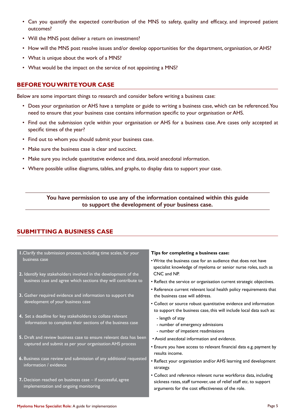- Can you quantify the expected contribution of the MNS to safety, quality and efficacy, and improved patient outcomes?
- Will the MNS post deliver a return on investment?
- How will the MNS post resolve issues and/or develop opportunities for the department, organisation, or AHS?
- What is unique about the work of a MNS?
- What would be the impact on the service of not appointing a MNS?

#### **BEFORE YOU WRITE YOUR CASE**

Below are some important things to research and consider before writing a business case:

- Does your organisation or AHS have a template or guide to writing a business case, which can be referenced. You need to ensure that your business case contains information specific to your organisation or AHS.
- Find out the submission cycle within your organisation or AHS for a business case. Are cases only accepted at specific times of the year?
- Find out to whom you should submit your business case.
- Make sure the business case is clear and succinct.
- Make sure you include quantitative evidence and data, avoid anecdotal information.
- Where possible utilise diagrams, tables, and graphs, to display data to support your case.

**You have permission to use any of the information contained within this guide to support the development of your business case.**

#### **SUBMITTING A BUSINESS CASE**

- **1.**Clarify the submission process, including time scales, for your business case
- **2.** Identify key stakeholders involved in the development of the business case and agree which sections they will contribute to
- **3.** Gather required evidence and information to support the development of your business case
- **4.** Set a deadline for key stakeholders to collate relevant information to complete their sections of the business case
- **5.** Draft and review business case to ensure relevant data has been captured and submit as per your organisation AHS process
- **6.** Business case review and submission of any additional requested information / evidence
- **7.** Decision reached on business case if successful, agree implementation and ongoing monitoring

#### **Tips for completing a business case:**

- Write the business case for an audience that does not have specialist knowledge of myeloma or senior nurse roles, such as CNC and NP.
- Reflect the service or organisation current strategic objectives.
- Reference current relevant local health policy requirements that the business case will address.
- Collect or source robust quantitative evidence and information to support the business case, this will include local data such as:
	- length of stay
	- number of emergency admissions
- number of impatient readmissions
- Avoid anecdotal information and evidence.
- Ensure you have access to relevant financial data e.g. payment by results income.
- Reflect your organisation and/or AHS learning and development strategy.
- Collect and reference relevant nurse workforce data, including sickness rates, staff turnover, use of relief staff etc. to support arguments for the cost effectiveness of the role.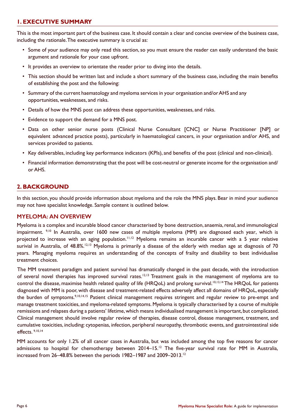### **1. EXECUTIVE SUMMARY**

This is the most important part of the business case. It should contain a clear and concise overview of the business case, including the rationale. The executive summary is crucial as:

- Some of your audience may only read this section, so you must ensure the reader can easily understand the basic argument and rationale for your case upfront.
- It provides an overview to orientate the reader prior to diving into the details.
- This section should be written last and include a short summary of the business case, including the main benefits of establishing the post and the following:
- Summary of the current haematology and myeloma services in your organisation and/or AHS and any opportunities, weaknesses, and risks.
- Details of how the MNS post can address these opportunities, weaknesses, and risks.
- Evidence to support the demand for a MNS post.
- Data on other senior nurse posts (Clinical Nurse Consultant [CNC] or Nurse Practitioner [NP] or equivalent advanced practice posts), particularly in haematological cancers, in your organisation and/or AHS, and services provided to patients.
- Key deliverables, including key performance indicators (KPIs), and benefits of the post (clinical and non-clinical).
- Financial information demonstrating that the post will be cost-neutral or generate income for the organisation and/ or AHS.

#### **2. BACKGROUND**

In this section, you should provide information about myeloma and the role the MNS plays. Bear in mind your audience may not have specialist knowledge. Sample content is outlined below.

#### **MYELOMA: AN OVERVIEW**

Myeloma is a complex and incurable blood cancer characterised by bone destruction, anaemia, renal, and immunological impairment. <sup>9,10</sup> In Australia, over 1600 new cases of multiple myeloma (MM) are diagnosed each year, which is projected to increase with an aging population.<sup>11,12</sup> Myeloma remains an incurable cancer with a 5 year relative surivial in Australia, of 48.8%.<sup>12,13</sup> Myeloma is primarily a disease of the elderly with median age at diagnosis of 70 years. Managing myeloma requires an understanding of the concepts of frailty and disability to best individualise treatment choices.

The MM treatment paradigm and patient survival has dramatically changed in the past decade, with the introduction of several novel therapies has improved survival rates.<sup>12,13</sup> Treatment goals in the management of myeloma are to control the disease, maximise health related quality of life (HRQoL) and prolong survival.<sup>10,13,14</sup> The HRQoL for patients diagnosed with MM is poor, with disease and treatment-related effects adversely affect all domains of HRQoL, especially the burden of symptoms.<sup>9,10,14,15</sup> Patient clinical management requires stringent and regular review to pre-empt and manage treatment toxicities, and myeloma-related symptoms. Myeloma is typically characterised by a course of multiple remissions and relapses during a patients' lifetime, which means individualised management is important, but complicated. Clinical management should involve regular review of therapies, disease control, disease management, treatment, and cumulative toxicities, including: cytopenias, infection, peripheral neuropathy, thrombotic events, and gastrointestinal side effects. 9,10,14

MM accounts for only 1.2% of all cancer cases in Australia, but was included among the top five reasons for cancer admissions to hospital for chemotherapy between 2014-15.<sup>12</sup> The five-year survival rate for MM in Australia, increased from 26–48.8% between the periods 1982–1987 and 2009–2013.<sup>12</sup>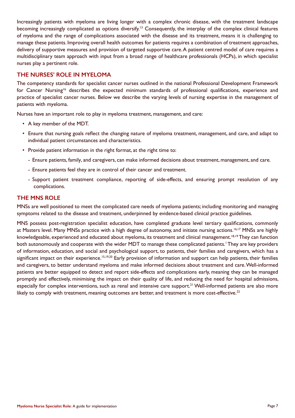Increasingly patients with myeloma are living longer with a complex chronic disease, with the treatment landscape becoming increasingly complicated as options diversify.<sup>13</sup> Consequently, the interplay of the complex clinical features of myeloma and the range of complications associated with the disease and its treatment, means it is challenging to manage these patients. Improving overall health outcomes for patients requires a combination of treatment approaches, delivery of supportive measures and provision of targeted supportive care. A patient centred model of care requires a multidisciplinary team approach with input from a broad range of healthcare professionals (HCPs), in which specialist nurses play a pertinent role.

#### **THE NURSES' ROLE IN MYELOMA**

The competency standards for specialist cancer nurses outlined in the national Professional Development Framework for Cancer Nursing<sup>16</sup> describes the expected minimum standards of professional qualifications, experience and practice of specialist cancer nurses. Below we describe the varying levels of nursing expertise in the management of patients with myeloma.

Nurses have an important role to play in myeloma treatment, management, and care:

- A key member of the MDT.
- Ensure that nursing goals reflect the changing nature of myeloma treatment, management, and care, and adapt to individual patient circumstances and characteristics.
- Provide patient information in the right format, at the right time to:
	- Ensure patients, family, and caregivers, can make informed decisions about treatment, management, and care.
	- Ensure patients feel they are in control of their cancer and treatment.
	- Support patient treatment compliance, reporting of side-effects, and ensuring prompt resolution of any complications.

#### **THE MNS ROLE**

MNSs are well positioned to meet the complicated care needs of myeloma patients; including monitoring and managing symptoms related to the disease and treatment, underpinned by evidence-based clinical practice guidelines.

MNS possess post-registration specialist education, have completed graduate level tertiary qualifications, commonly at Masters level. Many MNSs practice with a high degree of autonomy, and initiate nursing actions.<sup>16,17</sup> MNSs are highly knowledgeable, experienced and educated about myeloma, its treatment and clinical management.<sup>18,19</sup> They can function both autonomously and cooperate with the wider MDT to manage these complicated patients.<sup>1</sup> They are key providers of information, education, and social and psychological support, to patients, their families and caregivers, which has a significant impact on their experience.<sup>15,19,20</sup> Early provision of information and support can help patients, their families and caregivers, to better understand myeloma and make informed decisions about treatment and care. Well-informed patients are better equipped to detect and report side-effects and complications early, meaning they can be managed promptly and effectively, minimising the impact on their quality of life, and reducing the need for hospital admissions, especially for complex interventions, such as renal and intensive care support.<sup>21</sup> Well-informed patients are also more likely to comply with treatment, meaning outcomes are better, and treatment is more cost-effective.<sup>22</sup>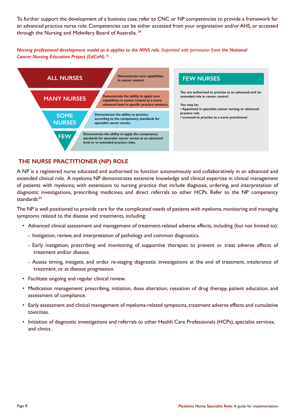To further support the development of a business case, refer to CNC or NP competencies to provide a framework for an advanced practice nurse role. Competencies can be either accessed from your organisation and/or AHS, or accessed through the Nursing and Midwifery Board of Australia. 24

*Nursing professional development model as it applies to the MNS role. Reprinted with permission from the National Cancer Nursing Education Project (EdCaN).<sup>16</sup>*



#### **THE NURSE PRACTITIONER (NP) ROLE**

A NP is a registered nurse educated and authorised to function autonomously and collaboratively in an advanced and extended clinical role. A myeloma NP demonstrates extensive knowledge and clinical expertise in clinical management of patients with myeloma; with extensions to nursing practice that include diagnosis, ordering, and interpretation of diagnostic investigations, prescribing medicines, and direct referrals to other HCPs. Refer to the NP competency standards.24

The NP is well positioned to provide care for the complicated needs of patients with myeloma, monitoring and managing symptoms related to the disease and treatments, including:

- Advanced clinical assessment and management of treatment-related adverse effects, including (but not limited to):
	- Instigation, review, and interpretation of pathology and common diagnostics.
	- Early instigation, prescribing and monitoring of supportive therapies to prevent or treat adverse effects of treatment and/or disease.
	- Assess timing, instigate, and order re-staging diagnostic investigations at the end of treatment, intolerance of treatment, or at disease progression.
- Facilitate ongoing and regular clinical review.
- Medication management: prescribing, initiation, dose alteration, cessation of drug therapy, patient education, and assessment of compliance.
- Early assessment and clinical management of myeloma-related symptoms, treatment adverse effects and cumulative toxicities.
- Initiation of diagnostic investigations and referrals to other Health Care Professionals (HCPs), specialist services, and clinics.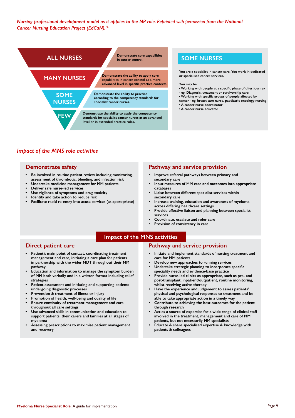*Nursing professional development model as it applies to the NP role. Reprinted with permission from the National Cancer Nursing Education Project (EdCaN).<sup>16</sup>*



#### *Impact of the MNS role activities*

#### **Demonstrate safety**

- **• Be involved in routine patient review including monitoring, assessment of thrombotic, bleeding, and infection risk**
- **• Undertake medicine management for MM patients**
- **• Deliver safe nurse-led services**
- **• Use vigilance of symptoms and drug toxicity**
- **• Identify and take action to reduce risk**
- **• Facilitate rapid re-entry into acute services (as appropriate)**

#### **Pathway and service provision**

- **• Improve referral pathways between primary and secondary care**
- **• Input measures of MM care and outcomes into appropriate databases**
- **• Liaise between different specialist services within secondary care**
- **• Increase training, education and awareness of myeloma across differing healthcare settings**
- **• Provide effective liaison and planning between specialist services**
- **• Coordinate, escalate and refer care**
- **• Provision of consistency in care**

#### **Impact of the MNS activities**

#### **Direct patient care**

- **• Patient's main point of contact, coordinating treatment management and care, initiating a care plan for patients in partnership with the wider MDT throughout their MM pathway.**
- **• Education and information to manage the symptom burden of MM both verbally and in a written format including relief strategies**
- **• Patient assessment and initiating and supporting patients undergoing diagnostic processes**
- **• Prevention & treatment of illness or injury**
- **• Promotion of health, well-being and quality of life**
- **• Ensure continuity of treatment management and care throughout all care settings**
- **• Use advanced skills in communication and education to support patients, their carers and families at all stages of myeloma**
- **• Assessing prescriptions to maximise patient management and recovery**

#### **Pathway and service provision**

- **• Initiate and implement standards of nursing treatment and care for MM patients**
- **• Develop new approaches to running services**
- **• Undertake strategic planning to incorporate specific speciality needs and evidence-base practice**
- **• Provide nurse-led clinics as appropriate, such as pre- and post-transplant, inpatient/outpatient, routine monitoring, whilst receiving active therapy**
- **• Have the experience and judgement to assess patients' physical and psychological responses to treatment and be able to take appropriate action in a timely way**
- **• Contribute to achieving the best outcomes for the patient through research**
- **• Act as a source of expertise for a wide range of clinical staff involved in the treatment, management and care of MM patients, but not necessarily MM specialists**
- **• Educate & share specialised expertise & knowledge with patients & colleagues**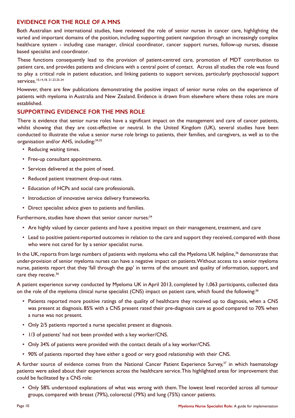#### **EVIDENCE FOR THE ROLE OF A MNS**

Both Australian and international studies, have reviewed the role of senior nurses in cancer care, highlighting the varied and important domains of the position, including supporting patient navigation through an increasingly complex healthcare system - including case manager, clinical coordinator, cancer support nurses, follow-up nurses, disease based specialist and coordinator.

These functions consequently lead to the provision of patient-centred care, promotion of MDT contribution to patient care, and provides patients and clinicians with a central point of contact. Across all studies the role was found to play a critical role in patient education, and linking patients to support services, particularly psychosocial support services.10,14,18, 21.23.25-34

However, there are few publications demonstrating the positive impact of senior nurse roles on the experience of patients with myeloma in Australia and New Zealand. Evidence is drawn from elsewhere where these roles are more established.

#### **SUPPORTING EVIDENCE FOR THE MNS ROLE**

There is evidence that senior nurse roles have a significant impact on the management and care of cancer patients, whilst showing that they are cost-effective or neutral. In the United Kingdom (UK), several studies have been conducted to illustrate the value a senior nurse role brings to patients, their families, and caregivers, as well as to the organisation and/or AHS, including:34,35

- Reducing waiting times.
- Free-up consultant appointments.
- Services delivered at the point of need.
- Reduced patient treatment drop-out rates.
- Education of HCPs and social care professionals.
- Introduction of innovative service delivery frameworks.
- Direct specialist advice given to patients and families.

Furthermore, studies have shown that senior cancer nurses:<sup>34</sup>

- Are highly valued by cancer patients and have a positive impact on their management, treatment, and care
- Lead to positive patient-reported outcomes in relation to the care and support they received, compared with those who were not cared for by a senior specialist nurse.

In the UK, reports from large numbers of patients with myeloma who call the Myeloma UK helpline,<sup>36</sup> demonstrate that under-provision of senior myeloma nurses can have a negative impact on patients. Without access to a senior myeloma nurse, patients report that they 'fall through the gap' in terms of the amount and quality of information, support, and care they receive.<sup>36</sup>

A patient experience survey conducted by Myeloma UK in April 2013, completed by 1,063 participants, collected data on the role of the myeloma clinical nurse specialist (CNS) impact on patient care, which found the following:<sup>36</sup>

- Patients reported more positive ratings of the quality of healthcare they received up to diagnosis, when a CNS was present at diagnosis. 85% with a CNS present rated their pre-diagnosis care as good compared to 70% when a nurse was not present.
- Only 2/5 patients reported a nurse specialist present at diagnosis.
- 1/3 of patients' had not been provided with a key worker/CNS.
- Only 34% of patients were provided with the contact details of a key worker/CNS.
- 90% of patients reported they have either a good or very good relationship with their CNS.

A further source of evidence comes from the National Cancer Patient Experience Survey,<sup>37</sup> in which haematology patients were asked about their experiences across the healthcare service. This highlighted areas for improvement that could be facilitated by a CNS role:

• Only 58% understood explanations of what was wrong with them. The lowest level recorded across all tumour groups, compared with breast (79%), colorectal (79%) and lung (75%) cancer patients.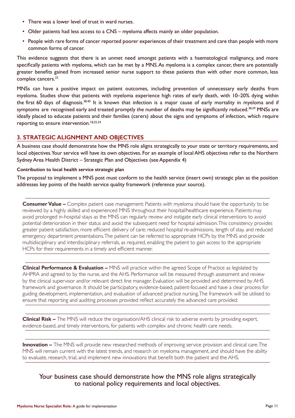- There was a lower level of trust in ward nurses.
- Older patients had less access to a CNS myeloma affects mainly an older population.
- People with rare forms of cancer reported poorer experiences of their treatment and care than people with more common forms of cancer.

This evidence suggests that there is an unmet need amongst patients with a haematological malignancy, and more specifically patients with myeloma, which can be met by a MNS. As myeloma is a complex cancer, there are potentially greater benefits gained from increased senior nurse support to these patients than with other more common, less complex cancers.<sup>22</sup>

MNSs can have a positive impact on patient outcomes, including prevention of unnecessary early deaths from myeloma. Studies show that patients with myeloma experience high rates of early death, with 10–20% dying within the first 60 days of diagnosis.<sup>38,40</sup> It is known that infection is a major cause of early mortality in myeloma and if symptoms are recognised early and treated promptly the number of deaths may be significantly reduced.<sup>38,39</sup> MNSs are ideally placed to educate patients and their families (carers) about the signs and symptoms of infection, which require reporting to ensure intervention.<sup>18,25,34</sup>

#### **3. STRATEGIC ALIGNMENT AND OBJECTIVES**

A business case should demonstrate how the MNS role aligns strategically to your state or territory requirements, and local objectives. Your service will have its own objectives. For an example of local AHS objectives refer to the Northern Sydney Area Health District – Strategic Plan and Objectives (see Appendix 4)

#### **Contribution to local health service strategic plan**

The proposal to implement a MNS post must conform to the health service (insert own) strategic plan as the position addresses key points of the health service quality framework (reference your source).

**Consumer Value –** Complex patient case management: Patients with myeloma should have the opportunity to be reviewed by a highly skilled and experienced MNS throughout their hospital/healthcare experience. Patients may avoid prolonged in-hospital stays as the MNS can regularly review and instigate early clinical interventions to avoid potential deterioration in their status and avoid the subsequent need for hospital admission. This consistency provides greater patient satisfaction, more efficient delivery of care; reduced hospital re-admissions, length of stay, and reduced emergency department presentations. The patient can be referred to appropriate HCPs by the MNS and provide multidisciplinary and interdisciplinary referrals, as required, enabling the patient to gain access to the appropriate HCPs for their requirements in a timely and efficient manner.

**Clinical Performance & Evaluation –** MNS will practice within the agreed Scope of Practice as legislated by AHPRA and agreed to by the nurse, and the AHS. Performance will be measured through assessment and review by the clinical supervisor and/or relevant direct line manager. Evaluation will be provided and determined by AHS framework and governance. It should be participatory, evidence-based, patient-focused and have a clear process for guiding development, implementation, and evaluation of advanced practice nursing. The framework will be utilised to ensure that reporting and auditing processes provided reflect accurately the advanced care provided.

**Clinical Risk –** The MNS will reduce the organisation/AHS clinical risk to adverse events by providing expert, evidence-based, and timely interventions, for patients with complex and chronic health care needs.

**Innovation –** The MNS will provide new researched methods of improving service provision and clinical care. The MNS will remain current with the latest trends, and research on myeloma management, and should have the ability to evaluate, research, trial, and implement new innovations that benefit both the patient and the AHS.

#### Your business case should demonstrate how the MNS role aligns strategically to national policy requirements and local objectives.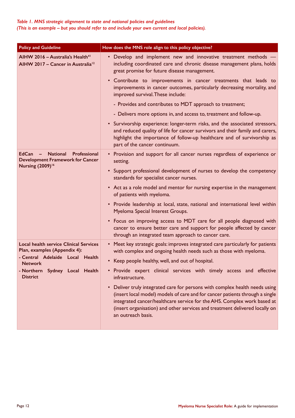| <b>Policy and Guideline</b>                                                                                             | How does the MNS role align to this policy objective?                                                                                                                                                                                                                                                                                       |
|-------------------------------------------------------------------------------------------------------------------------|---------------------------------------------------------------------------------------------------------------------------------------------------------------------------------------------------------------------------------------------------------------------------------------------------------------------------------------------|
| AIHW 2016 - Australia's Health <sup>41</sup><br>AIHW 2017 - Cancer in Australia <sup>12</sup>                           | • Develop and implement new and innovative treatment methods -<br>including coordinated care and chronic disease management plans, holds<br>great promise for future disease management.                                                                                                                                                    |
|                                                                                                                         | • Contribute to improvements in cancer treatments that leads to<br>improvements in cancer outcomes, particularly decreasing mortality, and<br>improved survival. These include:                                                                                                                                                             |
|                                                                                                                         | - Provides and contributes to MDT approach to treatment;                                                                                                                                                                                                                                                                                    |
|                                                                                                                         | - Delivers more options in, and access to, treatment and follow-up.                                                                                                                                                                                                                                                                         |
|                                                                                                                         | • Survivorship experience: longer-term risks, and the associated stressors,<br>and reduced quality of life for cancer survivors and their family and carers,<br>highlight the importance of follow-up healthcare and of survivorship as<br>part of the cancer continuum.                                                                    |
| <b>National</b><br>Professional<br>$EdCan -$<br><b>Development Framework for Cancer</b><br>Nursing (2009) <sup>16</sup> | • Provision and support for all cancer nurses regardless of experience or<br>setting.                                                                                                                                                                                                                                                       |
|                                                                                                                         | • Support professional development of nurses to develop the competency<br>standards for specialist cancer nurses.                                                                                                                                                                                                                           |
|                                                                                                                         | • Act as a role model and mentor for nursing expertise in the management<br>of patients with myeloma.                                                                                                                                                                                                                                       |
|                                                                                                                         | • Provide leadership at local, state, national and international level within<br>Myeloma Special Interest Groups.                                                                                                                                                                                                                           |
|                                                                                                                         | • Focus on improving access to MDT care for all people diagnosed with<br>cancer to ensure better care and support for people affected by cancer<br>through an integrated team approach to cancer care.                                                                                                                                      |
| <b>Local health service Clinical Services</b><br>Plan, examples (Appendix 4):                                           | • Meet key strategic goals: improves integrated care particularly for patients<br>with complex and ongoing health needs such as those with myeloma.                                                                                                                                                                                         |
| - Central Adelaide Local Health<br><b>Network</b>                                                                       | • Keep people healthy, well, and out of hospital.                                                                                                                                                                                                                                                                                           |
| - Northern Sydney Local Health<br><b>District</b>                                                                       | . Provide expert clinical services with timely access and effective<br>infrastructure.                                                                                                                                                                                                                                                      |
|                                                                                                                         | • Deliver truly integrated care for persons with complex health needs using<br>(insert local model) models of care and for cancer patients through a single<br>integrated cancer/healthcare service for the AHS. Complex work based at<br>(insert organisation) and other services and treatment delivered locally on<br>an outreach basis. |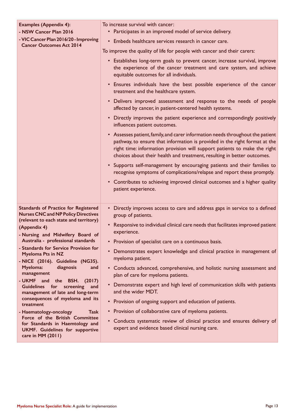| <b>Examples (Appendix 4):</b><br>- NSW Cancer Plan 2016                                                                          | To increase survival with cancer:<br>• Participates in an improved model of service delivery.                                                                                                                                                                                                                        |
|----------------------------------------------------------------------------------------------------------------------------------|----------------------------------------------------------------------------------------------------------------------------------------------------------------------------------------------------------------------------------------------------------------------------------------------------------------------|
| - VIC Cancer Plan 2016/20 - Improving<br><b>Cancer Outcomes Act 2014</b>                                                         | • Embeds healthcare services research in cancer care.                                                                                                                                                                                                                                                                |
|                                                                                                                                  | To improve the quality of life for people with cancer and their carers:                                                                                                                                                                                                                                              |
|                                                                                                                                  | • Establishes long-term goals to prevent cancer, increase survival, improve<br>the experience of the cancer treatment and care system, and achieve<br>equitable outcomes for all individuals.                                                                                                                        |
|                                                                                                                                  | • Ensures individuals have the best possible experience of the cancer<br>treatment and the healthcare system.                                                                                                                                                                                                        |
|                                                                                                                                  | • Delivers improved assessment and response to the needs of people<br>affected by cancer, in patient-centered health systems.                                                                                                                                                                                        |
|                                                                                                                                  | • Directly improves the patient experience and correspondingly positively<br>influences patient outcomes.                                                                                                                                                                                                            |
|                                                                                                                                  | • Assesses patient, family, and carer information needs throughout the patient<br>pathway, to ensure that information is provided in the right format at the<br>right time: information provision will support patients to make the right<br>choices about their health and treatment, resulting in better outcomes. |
|                                                                                                                                  | • Supports self-management by encouraging patients and their families to<br>recognise symptoms of complications/relapse and report these promptly.                                                                                                                                                                   |
|                                                                                                                                  | • Contributes to achieving improved clinical outcomes and a higher quality<br>patient experience.                                                                                                                                                                                                                    |
| <b>Standards of Practice for Registered</b><br><b>Nurses CNC and NP Policy Directives</b>                                        | Directly improves access to care and address gaps in service to a defined<br>group of patients.                                                                                                                                                                                                                      |
| (relevant to each state and territory)<br>(Appendix 4)<br>- Nursing and Midwifery Board of                                       | • Responsive to individual clinical care needs that facilitates improved patient<br>experience.                                                                                                                                                                                                                      |
| Australia - professional standards                                                                                               | • Provision of specialist care on a continuous basis.                                                                                                                                                                                                                                                                |
| - Standards for Service Provision for<br><b>Myeloma Pts in NZ</b><br>- NICE (2016). Guideline (NG35).                            | • Demonstrates expert knowledge and clinical practice in management of<br>myeloma patient.                                                                                                                                                                                                                           |
| Myeloma:<br>diagnosis<br>and<br>management                                                                                       | • Conducts advanced, comprehensive, and holistic nursing assessment and<br>plan of care for myeloma patients.                                                                                                                                                                                                        |
| - UKMF and the BSH. (2017)<br>Guidelines for screening<br>and<br>management of late and long-term                                | • Demonstrate expert and high level of communication skills with patients<br>and the wider MDT.                                                                                                                                                                                                                      |
| consequences of myeloma and its<br>treatment                                                                                     | • Provision of ongoing support and education of patients.                                                                                                                                                                                                                                                            |
| - Haematology-oncology<br>Task                                                                                                   | • Provision of collaborative care of myeloma patients.                                                                                                                                                                                                                                                               |
| Force of the British Committee<br>for Standards in Haemtology and<br><b>UKMF.</b> Guidelines for supportive<br>care in MM (2011) | • Conducts systematic review of clinical practice and ensures delivery of<br>expert and evidence based clinical nursing care.                                                                                                                                                                                        |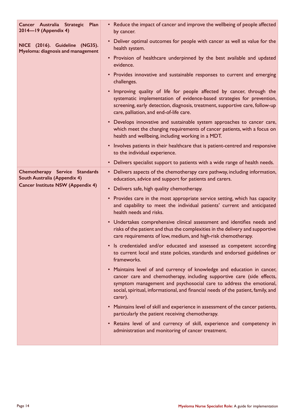| Cancer Australia Strategic Plan<br>2014-19 (Appendix 4)             | • Reduce the impact of cancer and improve the wellbeing of people affected<br>by cancer.                                                                                                                                                                                                                                |
|---------------------------------------------------------------------|-------------------------------------------------------------------------------------------------------------------------------------------------------------------------------------------------------------------------------------------------------------------------------------------------------------------------|
| NICE (2016). Guideline (NG35).<br>Myeloma: diagnosis and management | • Deliver optimal outcomes for people with cancer as well as value for the<br>health system.                                                                                                                                                                                                                            |
|                                                                     | • Provision of healthcare underpinned by the best available and updated<br>evidence.                                                                                                                                                                                                                                    |
|                                                                     | • Provides innovative and sustainable responses to current and emerging<br>challenges.                                                                                                                                                                                                                                  |
|                                                                     | . Improving quality of life for people affected by cancer, through the<br>systematic implementation of evidence-based strategies for prevention,<br>screening, early detection, diagnosis, treatment, supportive care, follow-up<br>care, palliation, and end-of-life care.                                             |
|                                                                     | • Develops innovative and sustainable system approaches to cancer care,<br>which meet the changing requirements of cancer patients, with a focus on<br>health and wellbeing, including working in a MDT.                                                                                                                |
|                                                                     | • Involves patients in their healthcare that is patient-centred and responsive<br>to the individual experience.                                                                                                                                                                                                         |
|                                                                     | • Delivers specialist support to patients with a wide range of health needs.                                                                                                                                                                                                                                            |
| Chemotherapy Service Standards<br>South Australia (Appendix 4)      | • Delivers aspects of the chemotherapy care pathway, including information,<br>education, advice and support for patients and carers.                                                                                                                                                                                   |
| <b>Cancer Institute NSW (Appendix 4)</b>                            | • Delivers safe, high quality chemotherapy.                                                                                                                                                                                                                                                                             |
|                                                                     | • Provides care in the most appropriate service setting, which has capacity<br>and capability to meet the individual patients' current and anticipated<br>health needs and risks.                                                                                                                                       |
|                                                                     | • Undertakes comprehensive clinical assessment and identifies needs and<br>risks of the patient and thus the complexities in the delivery and supportive<br>care requirements of low, medium, and high-risk chemotherapy.                                                                                               |
|                                                                     | Is credentialed and/or educated and assessed as competent according<br>to current local and state policies, standards and endorsed guidelines or<br>frameworks.                                                                                                                                                         |
|                                                                     | • Maintains level of and currency of knowledge and education in cancer,<br>cancer care and chemotherapy, including supportive care (side effects,<br>symptom management and psychosocial care to address the emotional,<br>social, spiritual, informational, and financial needs of the patient, family, and<br>carer). |
|                                                                     | • Maintains level of skill and experience in assessment of the cancer patients,<br>particularly the patient receiving chemotherapy.                                                                                                                                                                                     |
|                                                                     | • Retains level of and currency of skill, experience and competency in<br>administration and monitoring of cancer treatment.                                                                                                                                                                                            |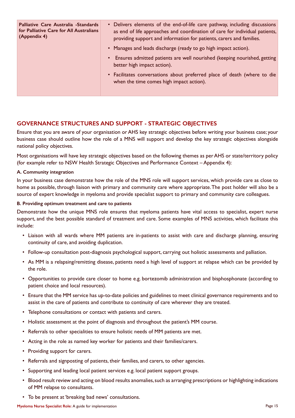| Palliative Care Australia -Standards<br>for Palliative Care for All Australians<br>(Appendix 4) | • Delivers elements of the end-of-life care pathway, including discussions<br>as end of life approaches and coordination of care for individual patients,<br>providing support and information for patients, carers and families. |
|-------------------------------------------------------------------------------------------------|-----------------------------------------------------------------------------------------------------------------------------------------------------------------------------------------------------------------------------------|
|                                                                                                 | • Manages and leads discharge (ready to go high impact action).                                                                                                                                                                   |
|                                                                                                 | • Ensures admitted patients are well nourished (keeping nourished, getting<br>better high impact action).                                                                                                                         |
|                                                                                                 | • Facilitates conversations about preferred place of death (where to die<br>when the time comes high impact action).                                                                                                              |
|                                                                                                 |                                                                                                                                                                                                                                   |

#### **GOVERNANCE STRUCTURES AND SUPPORT - STRATEGIC OBJECTIVES**

Ensure that you are aware of your organisation or AHS key strategic objectives before writing your business case; your business case should outline how the role of a MNS will support and develop the key strategic objectives alongside national policy objectives.

Most organisations will have key strategic objectives based on the following themes as per AHS or state/territory policy (for example refer to NSW Health Strategic Objectives and Performance Context – Appendix 4):

#### **A. Community integration**

In your business case demonstrate how the role of the MNS role will support services, which provide care as close to home as possible, through liaison with primary and community care where appropriate. The post holder will also be a source of expert knowledge in myeloma and provide specialist support to primary and community care colleagues.

#### **B. Providing optimum treatment and care to patients**

Demonstrate how the unique MNS role ensures that myeloma patients have vital access to specialist, expert nurse support, and the best possible standard of treatment and care. Some examples of MNS activities, which facilitate this include:

- Liaison with all wards where MM patients are in-patients to assist with care and discharge planning, ensuring continuity of care, and avoiding duplication.
- Follow-up consultation post-diagnosis psychological support, carrying out holistic assessments and palliation.
- As MM is a relapsing/remitting disease, patients need a high level of support at relapse which can be provided by the role.
- Opportunities to provide care closer to home e.g. bortezomib administration and bisphosphonate (according to patient choice and local resources).
- Ensure that the MM service has up-to-date policies and guidelines to meet clinical governance requirements and to assist in the care of patients and contribute to continuity of care wherever they are treated.
- Telephone consultations or contact with patients and carers.
- Holistic assessment at the point of diagnosis and throughout the patient's MM course.
- Referrals to other specialities to ensure holistic needs of MM patients are met.
- Acting in the role as named key worker for patients and their families/carers.
- Providing support for carers.
- Referrals and signposting of patients, their families, and carers, to other agencies.
- Supporting and leading local patient services e.g. local patient support groups.
- Blood result review and acting on blood results anomalies, such as arranging prescriptions or highlighting indications of MM relapse to consultants.
- To be present at 'breaking bad news' consultations.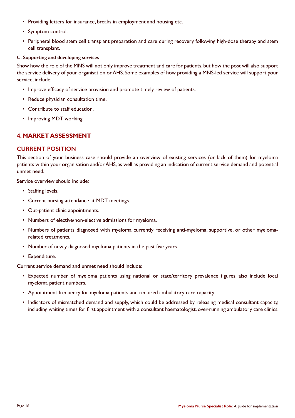- Providing letters for insurance, breaks in employment and housing etc.
- Symptom control.
- Peripheral blood stem cell transplant preparation and care during recovery following high-dose therapy and stem cell transplant.

#### **C. Supporting and developing services**

Show how the role of the MNS will not only improve treatment and care for patients, but how the post will also support the service delivery of your organisation or AHS. Some examples of how providing a MNS-led service will support your service, include:

- Improve efficacy of service provision and promote timely review of patients.
- Reduce physician consultation time.
- Contribute to staff education.
- Improving MDT working.

#### **4. MARKET ASSESSMENT**

#### **CURRENT POSITION**

This section of your business case should provide an overview of existing services (or lack of them) for myeloma patients within your organisation and/or AHS, as well as providing an indication of current service demand and potential unmet need.

Service overview should include:

- Staffing levels.
- Current nursing attendance at MDT meetings.
- Out-patient clinic appointments.
- Numbers of elective/non-elective admissions for myeloma.
- Numbers of patients diagnosed with myeloma currently receiving anti-myeloma, supportive, or other myelomarelated treatments.
- Number of newly diagnosed myeloma patients in the past five years.
- Expenditure.

Current service demand and unmet need should include:

- Expected number of myeloma patients using national or state/territory prevalence figures, also include local myeloma patient numbers.
- Appointment frequency for myeloma patients and required ambulatory care capacity.
- Indicators of mismatched demand and supply, which could be addressed by releasing medical consultant capacity, including waiting times for first appointment with a consultant haematologist, over-running ambulatory care clinics.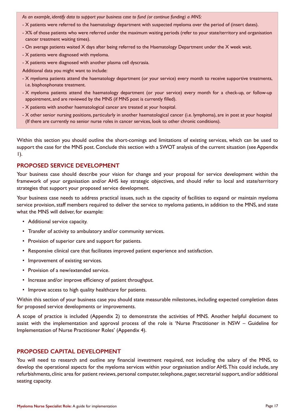*As an example, identify data to support your business case to fund (or continue funding) a MNS:*

- X patients were referred to the haematology department with suspected myeloma over the period of (insert dates).
- X% of those patients who were referred under the maximum waiting periods (refer to your state/territory and organisation cancer treatment waiting times).
- On average patients waited X days after being referred to the Haematology Department under the X week wait.
- X patients were diagnosed with myeloma.
- X patients were diagnosed with another plasma cell dyscrasia.
- Additional data you might want to include:
- X myeloma patients attend the haematology department (or your service) every month to receive supportive treatments, i.e. bisphosphonate treatment.
- X myeloma patients attend the haematology department (or your service) every month for a check-up, or follow-up appointment, and are reviewed by the MNS (if MNS post is currently filled).
- X patients with another haematological cancer are treated at your hospital.
- X other senior nursing positions, particularly in another haematological cancer (i.e. lymphoma), are in post at your hospital (If there are currently no senior nurse roles in cancer services, look to other chronic conditions).

Within this section you should outline the short-comings and limitations of existing services, which can be used to support the case for the MNS post. Conclude this section with a SWOT analysis of the current situation (see Appendix 1).

#### **PROPOSED SERVICE DEVELOPMENT**

Your business case should describe your vision for change and your proposal for service development within the framework of your organisation and/or AHS key strategic objectives, and should refer to local and state/territory strategies that support your proposed service development.

Your business case needs to address practical issues, such as the capacity of facilities to expand or maintain myeloma service provision, staff members required to deliver the service to myeloma patients, in addition to the MNS, and state what the MNS will deliver, for example:

- Additional service capacity.
- Transfer of activity to ambulatory and/or community services.
- Provision of superior care and support for patients.
- Responsive clinical care that facilitates improved patient experience and satisfaction.
- Improvement of existing services.
- Provision of a new/extended service.
- Increase and/or improve efficiency of patient throughput.
- Improve access to high quality healthcare for patients.

Within this section of your business case you should state measurable milestones, including expected completion dates for proposed service developments or improvements.

A scope of practice is included (Appendix 2) to demonstrate the activities of MNS. Another helpful document to assist with the implementation and approval process of the role is 'Nurse Practitioner in NSW – Guideline for Implementation of Nurse Practitioner Roles' (Appendix 4).

#### **PROPOSED CAPITAL DEVELOPMENT**

You will need to research and outline any financial investment required, not including the salary of the MNS, to develop the operational aspects for the myeloma services within your organisation and/or AHS. This could include, any refurbishments, clinic area for patient reviews, personal computer, telephone, pager, secretarial support, and/or additional seating capacity.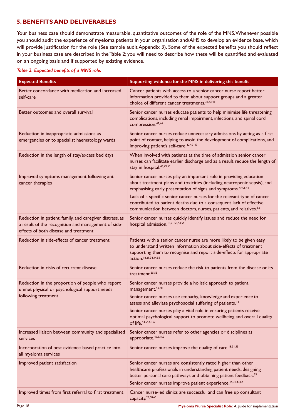#### **5. BENEFITS AND DELIVERABLES**

Your business case should demonstrate measurable, quantitative outcomes of the role of the MNS. Whenever possible you should audit the experience of myeloma patients in your organisation and/AHS to develop an evidence base, which will provide justification for the role (See sample audit Appendix 3). Some of the expected benefits you should reflect in your business case are described in the Table 2; you will need to describe how these will be quantified and evaluated on an ongoing basis and if supported by existing evidence.

#### *Table 2. Expected benefits of a MNS role.*

| <b>Expected Benefits</b>                                                                                                                                 | Supporting evidence for the MNS in delivering this benefit                                                                                                                                                                                                                         |
|----------------------------------------------------------------------------------------------------------------------------------------------------------|------------------------------------------------------------------------------------------------------------------------------------------------------------------------------------------------------------------------------------------------------------------------------------|
| Better concordance with medication and increased<br>self-care                                                                                            | Cancer patients with access to a senior cancer nurse report better<br>information provided to them about support groups and a greater<br>choice of different cancer treatments. <sup>32,42,43</sup>                                                                                |
| Better outcomes and overall survival                                                                                                                     | Senior cancer nurses educate patients to help minimise life threatening<br>complications, including renal impairment, infections, and spinal cord<br>compression. <sup>42,44</sup>                                                                                                 |
| Reduction in inappropriate admissions as<br>emergencies or to specialist haematology wards                                                               | Senior cancer nurses reduce unnecessary admissions by acting as a first<br>point of contact, helping to avoid the development of complications, and<br>improving patient's self-care. <sup>42,45-47</sup>                                                                          |
| Reduction in the length of stay/excess bed days                                                                                                          | When involved with patients at the time of admission senior cancer<br>nurses can facilitate earlier discharge and as a result reduce the length of<br>stay in hospital. 43,49,50                                                                                                   |
| Improved symptoms management following anti-<br>cancer therapies                                                                                         | Senior cancer nurses play an important role in providing education<br>about treatment plans and toxicities (including neutropenic sepsis), and<br>emphasising early presentation of signs and symptoms. <sup>42,51,54</sup>                                                        |
|                                                                                                                                                          | Lack of a specific senior cancer nurses for the relevant type of cancer<br>contributed to patient deaths due to a consequent lack of effective<br>communication between doctors, nurses, patients, and relatives. <sup>52</sup>                                                    |
| Reduction in patient, family, and caregiver distress, as<br>a result of the recognition and management of side-<br>effects of both disease and treatment | Senior cancer nurses quickly identify issues and reduce the need for<br>hospital admission. <sup>18,21,53,54,56</sup>                                                                                                                                                              |
| Reduction in side-effects of cancer treatment                                                                                                            | Patients with a senior cancer nurse are more likely to be given easy<br>to understand written information about side-effects of treatment<br>supporting them to recognise and report side-effects for appropriate<br>action. 18,29,34,44,55                                        |
| Reduction in risks of recurrent disease                                                                                                                  | Senior cancer nurses reduce the risk to patients from the disease or its<br>treatment. <sup>55,58</sup>                                                                                                                                                                            |
| Reduction in the proportion of people who report<br>unmet physical or psychological support needs                                                        | Senior cancer nurses provide a holistic approach to patient<br>management. <sup>59,60</sup>                                                                                                                                                                                        |
| following treatment                                                                                                                                      | Senior cancer nurses use empathy, knowledge and experience to<br>assess and alleviate psychosocial suffering of patients. <sup>34</sup>                                                                                                                                            |
|                                                                                                                                                          | Senior cancer nurses play a vital role in ensuring patients receive<br>optimal psychological support to promote wellbeing and overall quality<br>of life. 53, 55, 61, 62                                                                                                           |
| Increased liaison between community and specialised<br>services                                                                                          | Senior cancer nurses refer to other agencies or disciplines as<br>appropriate. 46,53,62                                                                                                                                                                                            |
| Incorporation of best evidence-based practice into<br>all myeloma services                                                                               | Senior cancer nurses improve the quality of care. <sup>18,31,55</sup>                                                                                                                                                                                                              |
| Improved patient satisfaction                                                                                                                            | Senior cancer nurses are consistently rated higher than other<br>healthcare professionals in understanding patient needs, designing<br>better personal care pathways and obtaining patient feedback. <sup>35</sup><br>Senior cancer nurses improve patient experience. 15,31,43,62 |
| Improved times from first referral to first treatment                                                                                                    | Cancer nurse-led clinics are successful and can free up consultant<br>capacity. <sup>29,58,65</sup>                                                                                                                                                                                |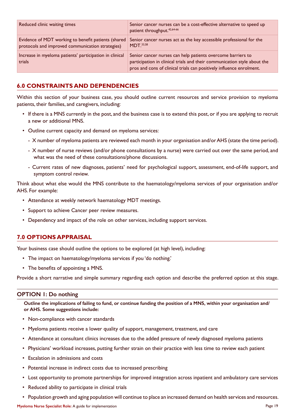| Reduced clinic waiting times                                                                            | Senior cancer nurses can be a cost-effective alternative to speed up<br>patient throughput. <sup>42,64-66</sup>                                                                                                 |
|---------------------------------------------------------------------------------------------------------|-----------------------------------------------------------------------------------------------------------------------------------------------------------------------------------------------------------------|
| Evidence of MDT working to benefit patients (shared<br>protocols and improved communication strategies) | Senior cancer nurses act as the key accessible professional for the<br>MDT <sub>.33,58</sub>                                                                                                                    |
| Increase in myeloma patients' participation in clinical<br>trials                                       | Senior cancer nurses can help patients overcome barriers to<br>participation in clinical trials and their communication style about the<br>pros and cons of clinical trials can positively influence enrolment. |

#### **6.0 CONSTRAINTS AND DEPENDENCIES**

Within this section of your business case, you should outline current resources and service provision to myeloma patients, their families, and caregivers, including:

- If there is a MNS currently in the post, and the business case is to extend this post, or if you are applying to recruit a new or additional MNS.
- Outline current capacity and demand on myeloma services:
	- X number of myeloma patients are reviewed each month in your organisation and/or AHS (state the time period).
	- X number of nurse reviews (and/or phone consultations by a nurse) were carried out over the same period, and what was the need of these consultations/phone discussions.
	- Current rates of new diagnoses, patients' need for psychological support, assessment, end-of-life support, and symptom control review.

Think about what else would the MNS contribute to the haematology/myeloma services of your organisation and/or AHS. For example:

- Attendance at weekly network haematology MDT meetings.
- Support to achieve Cancer peer review measures.
- Dependency and impact of the role on other services, including support services.

#### **7.0 OPTIONS APPRAISAL**

Your business case should outline the options to be explored (at high level), including:

- The impact on haematology/myeloma services if you 'do nothing.'
- The benefits of appointing a MNS.

Provide a short narrative and simple summary regarding each option and describe the preferred option at this stage.

#### **OPTION 1: Do nothing**

**Outline the implications of failing to fund, or continue funding the position of a MNS, within your organisation and/ or AHS. Some suggestions include:**

- Non-compliance with cancer standards
- Myeloma patients receive a lower quality of support, management, treatment, and care
- Attendance at consultant clinics increases due to the added pressure of newly diagnosed myeloma patients
- Physicians' workload increases, putting further strain on their practice with less time to review each patient
- Escalation in admissions and costs
- Potential increase in indirect costs due to increased prescribing
- Lost opportunity to promote partnerships for improved integration across inpatient and ambulatory care services
- Reduced ability to participate in clinical trials
- Population growth and aging population will continue to place an increased demand on health services and resources.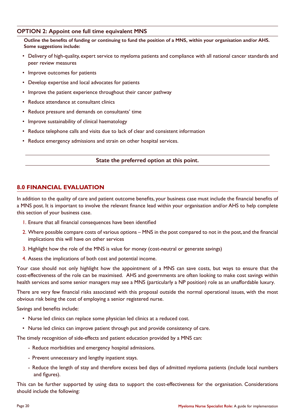#### **OPTION 2: Appoint one full time equivalent MNS**

Outline the benefits of funding or continuing to fund the position of a MNS, within your organisation and/or AHS. **Some suggestions include:**

- Delivery of high-quality, expert service to myeloma patients and compliance with all national cancer standards and peer review measures
- Improve outcomes for patients
- Develop expertise and local advocates for patients
- Improve the patient experience throughout their cancer pathway
- Reduce attendance at consultant clinics
- Reduce pressure and demands on consultants' time
- Improve sustainability of clinical haematology
- Reduce telephone calls and visits due to lack of clear and consistent information
- Reduce emergency admissions and strain on other hospital services.

#### **State the preferred option at this point.**

#### **8.0 FINANCIAL EVALUATION**

In addition to the quality of care and patient outcome benefits, your business case must include the financial benefits of a MNS post. It is important to involve the relevant finance lead within your organisation and/or AHS to help complete this section of your business case.

- 1. Ensure that all financial consequences have been identified
- 2. Where possible compare costs of various options MNS in the post compared to not in the post, and the financial implications this will have on other services
- 3. Highlight how the role of the MNS is value for money (cost-neutral or generate savings)
- 4. Assess the implications of both cost and potential income.

Your case should not only highlight how the appointment of a MNS can save costs, but ways to ensure that the cost-effectiveness of the role can be maximised. AHS and governments are often looking to make cost savings within health services and some senior managers may see a MNS (particularly a NP position) role as an unaffordable luxury.

There are very few financial risks associated with this proposal outside the normal operational issues, with the most obvious risk being the cost of employing a senior registered nurse.

Savings and benefits include:

- Nurse led clinics can replace some physician led clinics at a reduced cost.
- Nurse led clinics can improve patient through put and provide consistency of care.

The timely recognition of side-effects and patient education provided by a MNS can:

- Reduce morbidities and emergency hospital admissions.
- Prevent unnecessary and lengthy inpatient stays.
- Reduce the length of stay and therefore excess bed days of admitted myeloma patients (include local numbers and figures).

This can be further supported by using data to support the cost-effectiveness for the organisation. Considerations should include the following: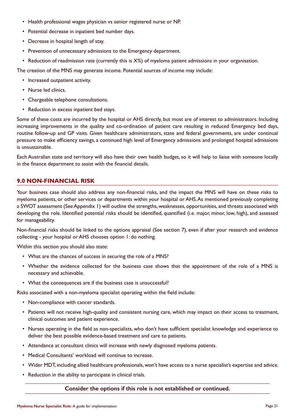- Health professional wages physician vs senior registered nurse or NP.
- Potential decrease in inpatient bed number days.
- Decrease in hospital length of stay.
- Prevention of unnecessary admissions to the Emergency department.
- Reduction of readmission rate (currently this is X%) of myeloma patient admissions in your organisation.

The creation of the MNS may generate income. Potential sources of income may include:

- Increased outpatient activity.
- Nurse led clinics.
- Chargeable telephone consultations.
- Reduction in excess inpatient bed stays.

Some of these costs are incurred by the hospital or AHS directly, but most are of interest to administrators. Including increasing improvements in the quality and co-ordination of patient care resulting in reduced Emergency bed days, routine follow-up and GP visits. Given healthcare administrators, state and federal governments, are under continual pressure to make efficiency savings, a continued high level of Emergency admissions and prolonged hospital admissions is unsustainable.

Each Australian state and territory will also have their own health budget, so it will help to liaise with someone locally in the finance department to assist with the financial details.

#### **9.0 NON-FINANCIAL RISK**

Your business case should also address any non-financial risks, and the impact the MNS will have on these risks to myeloma patients, or other services or departments within your hospital or AHS. As mentioned previously completing a SWOT assessment (See Appendix 1) will outline the strengths, weaknesses, opportunities, and threats associated with developing the role. Identified potential risks should be identified, quantified (i.e. major, minor, low, high), and assessed for manageability.

Non-financial risks should be linked to the options appraisal (See section 7), even if after your research and evidence collecting - your hospital or AHS chooses option 1: do nothing.

Within this section you should also state:

- What are the chances of success in securing the role of a MNS?
- Whether the evidence collected for the business case shows that the appointment of the role of a MNS is necessary and achievable.
- What the consequences are if the business case is unsuccessful?

Risks associated with a non-myeloma specialist operating within the field include:

- Non-compliance with cancer standards.
- Patients will not receive high-quality and consistent nursing care, which may impact on their access to treatment, clinical outcomes and patient experience.
- Nurses operating in the field as non-specialists, who don't have sufficient specialist knowledge and experience to deliver the best possible evidence-based treatment and care to patients.
- Attendance at consultant clinics will increase with newly diagnosed myeloma patients.
- Medical Consultants' workload will continue to increase.
- Wider MDT, including allied healthcare professionals, won't have access to a nurse specialist's expertise and advice.
- Reduction in the ability to participate in clinical trials.

#### **Consider the options if this role is not established or continued.**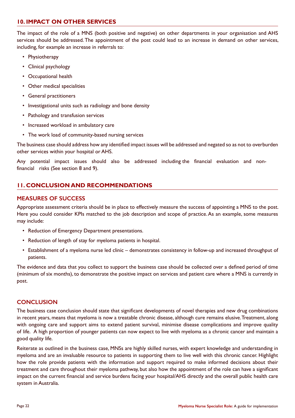#### **10. IMPACT ON OTHER SERVICES**

The impact of the role of a MNS (both positive and negative) on other departments in your organisation and AHS services should be addressed. The appointment of the post could lead to an increase in demand on other services, including, for example an increase in referrals to:

- Physiotherapy
- Clinical psychology
- Occupational health
- Other medical specialities
- General practitioners
- Investigational units such as radiology and bone density
- Pathology and transfusion services
- Increased workload in ambulatory care
- The work load of community-based nursing services

The business case should address how any identified impact issues will be addressed and negated so as not to overburden other services within your hospital or AHS.

Any potential impact issues should also be addressed including the financial evaluation and nonfinancial risks (See section 8 and 9).

#### **11. CONCLUSION AND RECOMMENDATIONS**

#### **MEASURES OF SUCCESS**

Appropriate assessment criteria should be in place to effectively measure the success of appointing a MNS to the post. Here you could consider KPIs matched to the job description and scope of practice. As an example, some measures may include:

- Reduction of Emergency Department presentations.
- Reduction of length of stay for myeloma patients in hospital.
- Establishment of a myeloma nurse led clinic demonstrates consistency in follow-up and increased throughput of patients.

The evidence and data that you collect to support the business case should be collected over a defined period of time (minimum of six months), to demonstrate the positive impact on services and patient care where a MNS is currently in post.

#### **CONCLUSION**

The business case conclusion should state that significant developments of novel therapies and new drug combinations in recent years, means that myeloma is now a treatable chronic disease, although cure remains elusive. Treatment, along with ongoing care and support aims to extend patient survival, minimise disease complications and improve quality of life. A high proportion of younger patients can now expect to live with myeloma as a chronic cancer and maintain a good quality life.

Reiterate as outlined in the business case, MNSs are highly skilled nurses, with expert knowledge and understanding in myeloma and are an invaluable resource to patients in supporting them to live well with this chronic cancer. Highlight how the role provide patients with the information and support required to make informed decisions about their treatment and care throughout their myeloma pathway, but also how the appointment of the role can have a significant impact on the current financial and service burdens facing your hospital/AHS directly and the overall public health care system in Australia.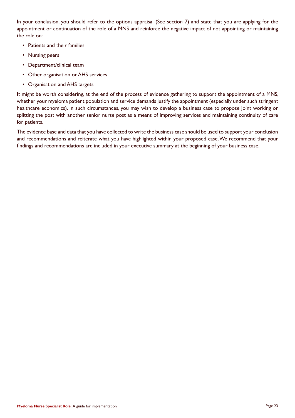In your conclusion, you should refer to the options appraisal (See section 7) and state that you are applying for the appointment or continuation of the role of a MNS and reinforce the negative impact of not appointing or maintaining the role on:

- Patients and their families
- Nursing peers
- Department/clinical team
- Other organisation or AHS services
- Organisation and AHS targets

It might be worth considering, at the end of the process of evidence gathering to support the appointment of a MNS, whether your myeloma patient population and service demands justify the appointment (especially under such stringent healthcare economics). In such circumstances, you may wish to develop a business case to propose joint working or splitting the post with another senior nurse post as a means of improving services and maintaining continuity of care for patients.

The evidence base and data that you have collected to write the business case should be used to support your conclusion and recommendations and reiterate what you have highlighted within your proposed case. We recommend that your findings and recommendations are included in your executive summary at the beginning of your business case.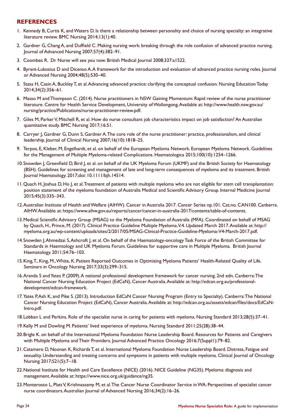#### **REFERENCES**

- 1. Kennedy B, Curtis K, and Waters D. Is there a relationship between personality and choice of nursing specialty: an integrative literature review. BMC Nursing 2014;13(1):40.
- 2. Gardner G, Chang A, and Duffield C. Making nursing work: breaking through the role confusion of advanced practice nursing. Journal of Advanced Nursing 2007;57(4):382–91.
- 3. Coombes R. Dr Nurse will see you now. British Medical Journal 2008;337:a1522.
- 4. Byrant-Lukosius D and Dicenso A. A framework for the introduction and evaluation of advanced practice nursing roles. Journal or Advanced Nursing 2004;48(5):530–40.
- 5. Stasa H, Casin A, Buckley T, et al. Advancing advanced practice: clarifying the conceptual confusion. Nursing Education Today 2014;34(2):356–61.
- 6. Masso M and Thompson C. (2014). Nurse practitioners in NSW Gaining Momentum: Rapid review of the nurse practitioner literature. Centre for Health Service Development, University of Wollongong. Available at: http://www.health.nsw.gov.au/ nursing/practice/Publications/nurse-practitioner-review.pdf.
- 7. Giles M, Parker V, Mitchell R, et al. How do nurse consultant job characteristics impact on job satisfaction? An Australian quantitative study. BMC Nursing 2017;16:51.
- 8. Carryer J, Gardner G, Dunn S, Gardner A. The core role of the nurse practitioner: practice, professionalism, and clinical leadership. Journal of Clinical Nursing 2007;16(10):1818–25.
- 9. Terpos, E, Kleber, M, Engelhardt, et al. on behalf of the European Myeloma Network. European Myeloma Network. Guidelines for the Management of Multiple Myeloma-related Complications. Haematologica 2015;100(10):1254–1266.
- 10.Snowden J, Greenfield D, Bird J, et al. on behalf of the UK Myeloma Forum (UKMF) and the British Society for Haematology (BSH). Guidelines for screening and management of late and long-term consequences of myeloma and its treatment. British Journal Haematology. 2017;doi: 10.1111/bjh.14514.
- 11.Quach H, Joshua D, Ho J, et al. Treatment of patients with multiple myeloma who are not eligible for stem cell transplantation: position statement of the myeloma foundation of Australia Medical and Scientific Advisory Group. Internal Medicine Journal 2015;45(3):335–343.
- 12.Australian Institute of Health and Welfare (AIHW). Cancer in Australia 2017. Cancer Series np.101. Cat.no. CAN100. Canberra. AIHW. Available at: https://www.aihw.gov.au/reports/cancer/cancer-in-australia-2017/contents/table-of-contents.
- 13.Medical Scientific Advisory Group (MSAG) to the Myeloma Foundation of Australia (MFA). Coordinated on behalf of MSAG by Quach, H., Prince, M. (2017). Clinical Practice Guideline Multiple Myeloma. V.4. Updated March 2017. Available at: http:// myeloma.org.au/wp-content/uploads/sites/2/2017/05/MSAG-Clinical-Practice-Guideline-Myeloma-V4-March-2017.pdf.
- 14.Snowden J, Ahmedzai S, Ashcroft J, et al. On behalf of the Haematology-oncology Task Force of the British Committee for Standards in Haemtology and UK Myeloma Forum. Guidelines for supportive care in Multiple Myeloma. British Journal Haematology. 2011;54:76–103.
- 15.King, T., King, M., White, K. Patient Reported Outcomes in Optimizing Myeloma Patients' Health-Related Quality of Life. Seminars in Oncology Nursing 2017;33(3):299–315.
- 16.Aranda S and Yates P. (2009). A national professional development framework for cancer nursing. 2nd edn. Canberra: The National Cancer Nursing Education Project (EdCaN), Cancer Australia. Available at: http://edcan.org.au/professionaldevelopment/edcan-framework.
- 17.Yates P, Ash K, and Pike S. (2013). Introduction EdCaN Cancer Nursing Program (Entry to Specialty). Canberra: The National Cancer Nursing Education Project (EdCaN), Cancer Australia. Available at: http://edcan.org.au/assets/edcan/files/docs/EdCaN-Intro.pdf.
- 18.Lobban L and Perkins. Role of the specialist nurse in caring for patients with myeloma. Nursing Standard 2013;28(5):37–41.
- 19.Kelly M and Dowling M. Patients' lived experience of myeloma. Nursing Standard 2011;25(28):38–44.
- 20.Brigle K. on behalf of the International Myeloma Foundation Nurse Leadership Board. Resources for Patients and Caregivers with Multiple Myeloma and Their Providers. Journal Advanced Practice Oncology 2016;7(Suppl1):79–82.
- 21.Catamero D, Noonan K, Richards T, et al. International Myeloma Foundation Nurse Leadership Board. Distress, Fatigue and sexuality. Understanding and treating concerns and symptoms in patients with multiple myeloma. Clinical Journal of Oncology Nursing 2017;S21(5):7–18.
- 22.National Institute for Health and Care Excellence (NICE) (2016). NICE Guideline (NG35). Myeloma: diagnosis and management. Available at: https://www.nice.org.uk/guidance/ng35.
- 23.Monterosso L, Platt V, Krishnassamy M, et al. The Cancer Nurse Coordinator Service in WA: Perspectives of specialist cancer nurse coordinators. Australian Journal of Advanced Nursing 2016;34(2):16–26.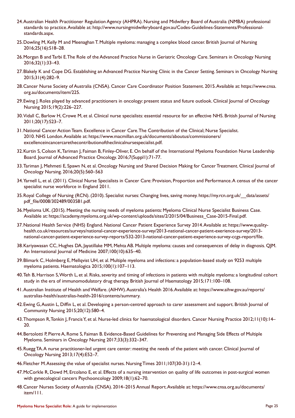- 24.Australian Health Practitioner Regulation Agency (AHPRA). Nursing and Midwifery Board of Australia (NMBA) professional standards to practice. Available at: http://www.nursingmidwiferyboard.gov.au/Codes-Guidelines-Statements/Professionalstandards.aspx.
- 25.Dowling M, Kelly M and Meenaghan T. Multiple myeloma: managing a complex blood cancer. British Journal of Nursing 2016;25(16):S18–28.
- 26.Morgan B and Tarbi E. The Role of the Advanced Practice Nurse in Geriatric Oncology Care. Seminars in Oncology Nursing 2016;32(1):33–43.
- 27.Blakely K and Cope DG. Establishing an Advanced Practice Nursing Clinic in the Cancer Setting. Seminars in Oncology Nursing 2015;31(4):282–9.
- 28.Cancer Nurse Society of Australia (CNSA). Cancer Care Coordinator Position Statement. 2015. Available at: https://www.cnsa. org.au/documents/item/225.
- 29.Ewing J. Roles played by advanced practitioners in oncology: present status and future outlook. Clinical Journal of Oncology Nursing 2015;19(2):226–227.
- 30.Vidall C, Barlow H, Crowe M, et al. Clinical nurse specialists: essential resource for an effective NHS. British Journal of Nursing 2011;20(17):S23–7.
- 31.National Cancer Action Team. Excellence in Cancer Care. The Contribution of the Clinical; Nurse Specialist. 2010. NHS London. Available at: https://www.macmillan.org.uk/documents/aboutus/commissioners/ excellenceincancercarethecontributionoftheclinicalnursespecialist.pdf.
- 32.Kurtin S, Colson K, Tariman J, Faiman B, Finley-Oliver, E. On behalf of the International Myeloma Foundation Nurse Leadership Board. Journal of Advanced Practice Oncology. 2016;7(Suppl1):71-77.
- 33. Tariman J, Mehmeti E, Spawn N, et al. Oncology Nursing and Shared Decision Making for Cancer Treatment. Clinical Journal of Oncology Nursing. 2016;20(5):560–563
- 34.Yarnell L, et al. (2011). Clinical Nurse Specialists in Cancer Care: Provision, Proportion and Performance. A census of the cancer specialist nurse workforce in England 2011.
- 35.Royal College of Nursing (RCN). (2010). Specialist nurses: Changing lives, saving money. https://my.rcn.org.uk/\_\_data/assets/ pdf\_file/0008/302489/003581.pdf.
- 36.Myeloma UK. (2015). Meeting the nursing needs of myeloma patients: Myeloma Clinical Nurse Specialist Business Case. Available at: https://academy.myeloma.org.uk/wp-content/uploads/sites/2/2015/04/Business\_Case-2015-Final.pdf.
- 37.National Health Service (NHS) England. National Cancer Patient Experience Survey 2014. Available at: https://www.qualityhealth.co.uk/resources/surveys/national-cancer-experience-survey/2013-national-cancer-patient-exerience-survey/2013 national-cancer-patient-experience-survey-reports/532-2013-national-cancer-patient-experience-survey-ccgs-report/file.
- 38.Kariyawasan CC, Hughes DA, Jayatillake MM, Mehta AB. Multiple myeloma: causes and consequences of delay in diagnosis. QJM. An International Journal of Medicine 2007;100(10):635-40.
- 39.Blimark C, Holmberg E, Mellqvist UH, et al. Multiple myeloma and infections: a population-based study on 9253 multiple myeloma patients. Haematologica 2015;100(1):107–113.
- 40.Teh B, Harrison S, Worth L, et al. Risks, severity and timing of infections in patients with multiple myeloma: a longitudinal cohort study in the era of immunomodulatory drug therapy. British Journal of Haematology 2015;171:100–108.
- 41.Australian Institute of Health and Welfare. (AIHW). Australia's Health 2016. Available at: https://www.aihw.gov.au/reports/ australias-health/australias-health-2016/contents/summary.
- 42.Ewing G, Austin L, Diffin L, et al. Developing a person-centred approach to carer assessment and support. British Journal of Community Nursing 2015;20(12):580–4.
- 43.Thompson R, Tonkin J, Francis Y, et al. Nurse-led clinics for haematological disorders. Cancer Nursing Practice 2012;11(10):14– 20.
- 44.Bertolotti P, Pierre A, Rome S, Faiman B. Evidence-Based Guidelines for Preventing and Managing Side Effects of Multiple Myeloma. Seminars in Oncology Nursing 2017;33(3):332–347.
- 45.Ruegg TA. A nurse practitioner-led urgent care center: meeting the needs of the patient with cancer. Clinical Journal of Oncology Nursing 2013;17(4):E52–7.
- 46.Fletcher M. Assessing the value of specialist nurses. Nursing Times 2011;107(30-31):12–4.
- 47.McCorkle R, Dowd M, Ercolano E, et al. Effects of a nursing intervention on quality of life outcomes in post-surgical women with gynecological cancers Psychooncology 2009;18(1):62–70.
- 48.Cancer Nurses Society of Australia (CNSA). 2014–2015 Annual Report. Available at: https://www.cnsa.org.au/documents/ item/111.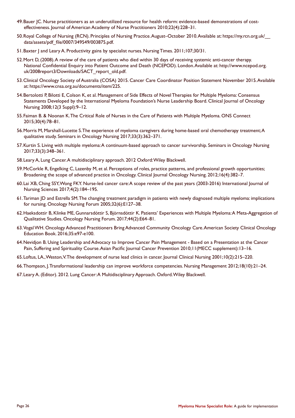- 49.Bauer JC. Nurse practitioners as an underutilized resource for health reform: evidence-based demonstrations of costeffectiveness. Journal of American Academy of Nurse Practitioners 2010;22(4):228–31.
- 50.Royal College of Nursing (RCN). Principles of Nursing Practice. August–October 2010. Available at: https://my.rcn.org.uk/\_\_ data/assets/pdf\_file/0007/349549/003875.pdf.
- 51.Baxter J and Leary A. Productivity gains by specialist nurses. Nursing Times. 2011;107;30/31.
- 52.Mort D, (2008). A review of the care of patients who died within 30 days of receiving systemic anti-cancer therapy. National Confidential Enquiry into Patient Outcome and Death (NCEPOD). London. Available at: http://www.ncepod.org. uk/2008report3/Downloads/SACT\_report\_old.pdf.
- 53.Clinical Oncology Society of Australia (COSA) 2015. Cancer Care Coordinator Position Statement November 2015. Available at: https://www.cnsa.org.au/documents/item/225.
- 54.Bertolotti P, Bilotti E, Colson K, et al. Management of Side Effects of Novel Therapies for Multiple Myeloma: Consensus Statements Developed by the International Myeloma Foundation's Nurse Leadership Board. Clinical Journal of Oncology Nursing 2008;12(3 Suppl):9–12.
- 55.Faiman B. & Noonan K. The Critical Role of Nurses in the Care of Patients with Multiple Myeloma. ONS Connect 2015;30(4):78–81.
- 56.Morris M, Marshall-Lucette S. The experience of myeloma caregivers during home-based oral chemotherapy treatment; A qualitative study. Seminars in Oncology Nursing 2017;33(3):362–371.
- 57.Kurtin S. Living with multiple myeloma: A continuum-based approach to cancer survivorship. Seminars in Oncology Nursing 2017;33(3):348–361.
- 58.Leary A, Lung Cancer. A multidisciplinary approach. 2012 Oxford: Wiley Blackwell.
- 59.McCorkle R, Engelking C, Lazenby M, et al. Perceptions of roles, practice patterns, and professional growth opportunities; Broadening the scope of advanced practice in Oncology. Clinical Journal Oncology Nursing. 2012;16(4):382–7.
- 60.Lai XB, Ching SSY, Wong FKY. Nurse-led cancer care: A scope review of the past years (2003-2016) International Journal of Nursing Sciences 2017;4(2):184–195.
- 61.Tariman JD and Estrella SM. The changing treatment paradigm in patients with newly diagnosed multiple myeloma: implications for nursing. Oncology Nursing Forum 2005;32(6):E127–38.
- 62.Haeksdottir B, Klinke ME, Gunnarsdóttir S, Björnsdóttir K. Patients' Experiences with Multiple Myeloma: A Meta-Aggregation of Qualitative Studies. Oncology Nursing Forum. 2017;44(2):E64–81.
- 63.Vogal WH. Oncology Advanced Practitioners Bring Advanced Community Oncology Care. American Society Clinical Oncology Education Book. 2016;35:e97-e100.
- 64.Nevidjon B. Using Leadership and Advocacy to Improve Cancer Pain Management Based on a Presentation at the Cancer Pain, Suffering and Spirituality Course. Asian Pacific Journal Cancer Prevention 2010;11(MECC supplement):13–16.
- 65.Loftus, LA., Weston, V. The development of nurse lead clinics in cancer. Journal Clinical Nursing 2001;10(2):215–220.
- 66.Thompson, J. Transformational leadership can improve workforce competencies. Nursing Management 2012;18(10):21–24.
- 67.Leary A. (Editor). 2012. Lung Cancer: A Multidisciplinary Approach. Oxford. Wiley Blackwell.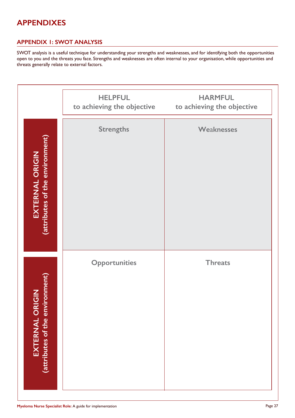# **APPENDIXES**

#### **APPENDIX 1: SWOT ANALYSIS**

SWOT analysis is a useful technique for understanding your strengths and weaknesses, and for identifying both the opportunities open to you and the threats you face. Strengths and weaknesses are often internal to your organisation, while opportunities and threats generally relate to external factors.

|                                                           | <b>HELPFUL</b>       | <b>HARMFUL</b><br>to achieving the objective to achieving the objective |
|-----------------------------------------------------------|----------------------|-------------------------------------------------------------------------|
| <b>EXTERNAL ORIGIN</b><br>(attributes of the environment) | <b>Strengths</b>     | <b>Weaknesses</b>                                                       |
| (attributes of the environment)<br>EXTERNAL ORIGIN        | <b>Opportunities</b> | <b>Threats</b>                                                          |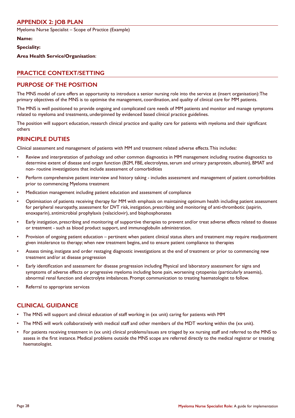#### **APPENDIX 2: JOB PLAN**

Myeloma Nurse Specialist – Scope of Practice (Example)

**Name:**

**Speciality:**

**Area Health Service/Organisation**:

#### **PRACTICE CONTEXT/SETTING**

#### **PURPOSE OF THE POSITION**

The MNS model of care offers an opportunity to introduce a senior nursing role into the service at (insert organisation): The primary objectives of the MNS is to optimise the management, coordination, and quality of clinical care for MM patients.

The MNS is well positioned to provide ongoing and complicated care needs of MM patients and monitor and manage symptoms related to myeloma and treatments, underpinned by evidenced based clinical practice guidelines.

The position will support education, research clinical practice and quality care for patients with myeloma and their significant others

# **PRINCIPLE DUTIES**

Clinical assessment and management of patients with MM and treatment related adverse effects. This includes:

- Review and interpretation of pathology and other common diagnostics in MM management including routine diagnostics to determine extent of disease and organ function (B2M, FBE, electrolytes, serum and urinary paraprotein, albumin), BMAT and non- routine investigations that include assessment of comorbidities
- Perform comprehensive patient interview and history taking includes assessment and management of patient comorbidities prior to commencing Myeloma treatment
- Medication management including patient education and assessment of compliance
- Optimisation of patients receiving therapy for MM with emphasis on maintaining optimum health including patient assessment for peripheral neuropathy, assessment for DVT risk, instigation, prescribing and monitoring of anti-thrombotic (aspirin, enoxaparin), antimicrobial prophylaxis (valaciclovir), and bisphosphonates
- Early instigation, prescribing and monitoring of supportive therapies to prevent and/or treat adverse effects related to disease or treatment - such as blood product support, and immunoglobulin administration.
- Provision of ongoing patient education pertinent when patient clinical status alters and treatment may require readjustment given intolerance to therapy; when new treatment begins, and to ensure patient compliance to therapies
- Assess timing, instigate and order restaging diagnostic investigations at the end of treatment or prior to commencing new treatment and/or at disease progression
- Early identification and assessment for disease progression including Physical and laboratory assessment for signs and symptoms of adverse effects or progressive myeloma including bone pain, worsening cytopenias (particularly anaemia), abnormal renal function and electrolyte imbalances. Prompt communication to treating haematologist to follow.
- Referral to appropriate services

# **CLINICAL GUIDANCE**

- The MNS will support and clinical education of staff working in (xx unit) caring for patients with MM
- The MNS will work collaboratively with medical staff and other members of the MDT working within the (xx unit).
- For patients receiving treatment in (xx unit) clinical problems/issues are triaged by xx nursing staff and referred to the MNS to assess in the first instance. Medical problems outside the MNS scope are referred directly to the medical registrar or treating haematologist.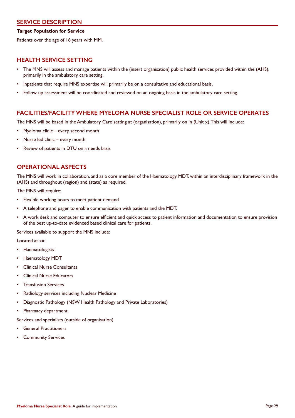#### **SERVICE DESCRIPTION**

#### **Target Population for Service**

Patients over the age of 16 years with MM.

#### **HEALTH SERVICE SETTING**

- The MNS will assess and manage patients within the (insert organisation) public health services provided within the (AHS), primarily in the ambulatory care setting.
- Inpatients that require MNS expertise will primarily be on a consultative and educational basis,
- Follow-up assessment will be coordinated and reviewed on an ongoing basis in the ambulatory care setting.

#### **FACILITIES/FACILITY WHERE MYELOMA NURSE SPECIALIST ROLE OR SERVICE OPERATES**

The MNS will be based in the Ambulatory Care setting at (organisation), primarily on in (Unit x). This will include:

- Myeloma clinic every second month
- Nurse led clinic every month
- Review of patients in DTU on a needs basis

#### **OPERATIONAL ASPECTS**

The MNS will work in collaboration, and as a core member of the Haematology MDT, within an interdisciplinary framework in the (AHS) and throughout (region) and (state) as required.

The MNS will require:

- Flexible working hours to meet patient demand
- A telephone and pager to enable communication with patients and the MDT.
- A work desk and computer to ensure efficient and quick access to patient information and documentation to ensure provision of the best up-to-date evidenced based clinical care for patients.

Services available to support the MNS include:

Located at xx:

- **Haematologists**
- Haematology MDT
- Clinical Nurse Consultants
- Clinical Nurse Educators
- Transfusion Services
- Radiology services including Nuclear Medicine
- Diagnostic Pathology (NSW Health Pathology and Private Laboratories)
- Pharmacy department

Services and specialists (outside of organisation)

- **General Practitioners**
- **Community Services**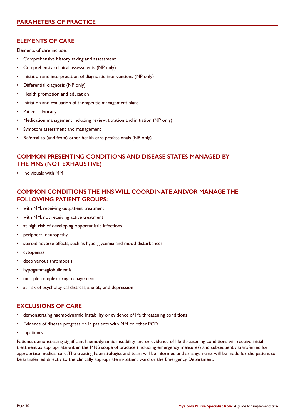#### **ELEMENTS OF CARE**

Elements of care include:

- Comprehensive history taking and assessment
- Comprehensive clinical assessments (NP only)
- Initiation and interpretation of diagnostic interventions (NP only)
- Differential diagnosis (NP only)
- Health promotion and education
- Initiation and evaluation of therapeutic management plans
- Patient advocacy
- Medication management including review, titration and initiation (NP only)
- Symptom assessment and management
- Referral to (and from) other health care professionals (NP only)

#### **COMMON PRESENTING CONDITIONS AND DISEASE STATES MANAGED BY THE MNS (NOT EXHAUSTIVE)**

• Individuals with MM

#### **COMMON CONDITIONS THE MNS WILL COORDINATE AND/OR MANAGE THE FOLLOWING PATIENT GROUPS:**

- with MM, receiving outpatient treatment
- with MM, not receiving active treatment
- at high risk of developing opportunistic infections
- peripheral neuropathy
- steroid adverse effects, such as hyperglycemia and mood disturbances
- cytopenias
- deep venous thrombosis
- hypogammaglobulinemia
- multiple complex drug management
- at risk of psychological distress, anxiety and depression

#### **EXCLUSIONS OF CARE**

- demonstrating haemodynamic instability or evidence of life threatening conditions
- Evidence of disease progression in patients with MM or other PCD
- **Inpatients**

Patients demonstrating significant haemodynamic instability and or evidence of life threatening conditions will receive initial treatment as appropriate within the MNS scope of practice (including emergency measures) and subsequently transferred for appropriate medical care. The treating haematologist and team will be informed and arrangements will be made for the patient to be transferred directly to the clinically appropriate in-patient ward or the Emergency Department.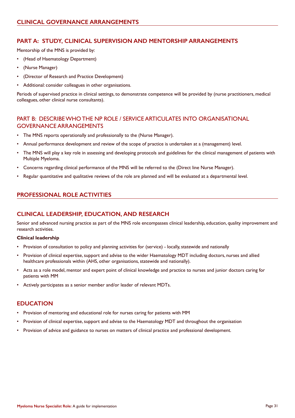#### **PART A: STUDY, CLINICAL SUPERVISION AND MENTORSHIP ARRANGEMENTS**

Mentorship of the MNS is provided by:

- (Head of Haematology Department)
- (Nurse Manager)
- (Director of Research and Practice Development)
- Additional: consider colleagues in other organisations.

Periods of supervised practice in clinical settings, to demonstrate competence will be provided by (nurse practitioners, medical colleagues, other clinical nurse consultants).

#### PART B: DESCRIBE WHO THE NP ROLE / SERVICE ARTICULATES INTO ORGANISATIONAL GOVERNANCE ARRANGEMENTS

- The MNS reports operationally and professionally to the (Nurse Manager).
- Annual performance development and review of the scope of practice is undertaken at a (management) level.
- The MNS will play a key role in assessing and developing protocols and guidelines for the clinical management of patients with Multiple Myeloma.
- Concerns regarding clinical performance of the MNS will be referred to the (Direct line Nurse Manager).
- Regular quantitative and qualitative reviews of the role are planned and will be evaluated at a departmental level.

#### **PROFESSIONAL ROLE ACTIVITIES**

#### **CLINICAL LEADERSHIP, EDUCATION, AND RESEARCH**

Senior and advanced nursing practice as part of the MNS role encompasses clinical leadership, education, quality improvement and research activities.

#### **Clinical leadership**

- Provision of consultation to policy and planning activities for (service) locally, statewide and nationally
- Provision of clinical expertise, support and advise to the wider Haematology MDT including doctors, nurses and allied healthcare professionals within (AHS, other organisations, statewide and nationally).
- Acts as a role model, mentor and expert point of clinical knowledge and practice to nurses and junior doctors caring for patients with MM
- Actively participates as a senior member and/or leader of relevant MDTs.

#### **EDUCATION**

- Provision of mentoring and educational role for nurses caring for patients with MM
- Provision of clinical expertise, support and advise to the Haematology MDT and throughout the organisation
- Provision of advice and guidance to nurses on matters of clinical practice and professional development.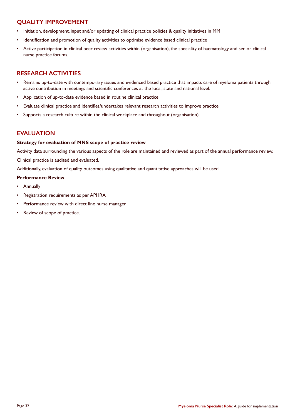#### **QUALITY IMPROVEMENT**

- Initiation, development, input and/or updating of clinical practice policies & quality initiatives in MM
- Identification and promotion of quality activities to optimise evidence based clinical practice
- Active participation in clinical peer review activities within (organisation), the speciality of haematology and senior clinical nurse practice forums.

#### **RESEARCH ACTIVITIES**

- Remains up-to-date with contemporary issues and evidenced based practice that impacts care of myeloma patients through active contribution in meetings and scientific conferences at the local, state and national level.
- Application of up-to-date evidence based in routine clinical practice
- Evaluate clinical practice and identifies/undertakes relevant research activities to improve practice
- Supports a research culture within the clinical workplace and throughout (organisation).

#### **EVALUATION**

#### **Strategy for evaluation of MNS scope of practice review**

Activity data surrounding the various aspects of the role are maintained and reviewed as part of the annual performance review.

Clinical practice is audited and evaluated.

Additionally, evaluation of quality outcomes using qualitative and quantitative approaches will be used.

#### **Performance Review**

- Annually
- Registration requirements as per APHRA
- Performance review with direct line nurse manager
- Review of scope of practice.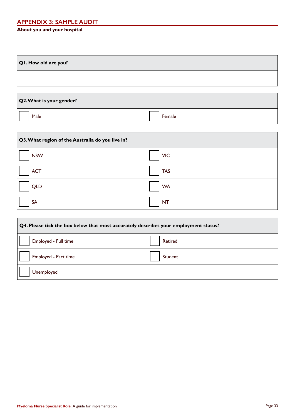# **APPENDIX 3: SAMPLE AUDIT**

#### **About you and your hospital**

| QI. How old are you?     |  |
|--------------------------|--|
|                          |  |
| Q2. What is your gender? |  |

| iale. |  | Female |
|-------|--|--------|

| Q3. What region of the Australia do you live in? |            |  |
|--------------------------------------------------|------------|--|
| <b>NSW</b>                                       | <b>VIC</b> |  |
| <b>ACT</b>                                       | <b>TAS</b> |  |
| <b>QLD</b>                                       | <b>WA</b>  |  |
| <b>SA</b>                                        | <b>NT</b>  |  |

| Q4. Please tick the box below that most accurately describes your employment status? |         |  |
|--------------------------------------------------------------------------------------|---------|--|
| Employed - Full time                                                                 | Retired |  |
| Employed - Part time                                                                 | Student |  |
| Unemployed                                                                           |         |  |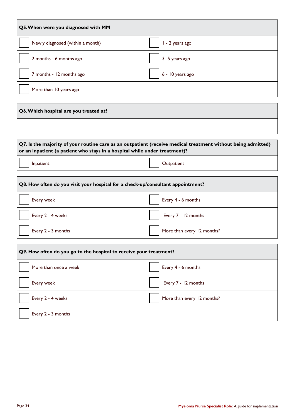| Q5. When were you diagnosed with MM    |                  |  |  |  |
|----------------------------------------|------------------|--|--|--|
| Newly diagnosed (within a month)       | I - 2 years ago  |  |  |  |
| 2 months - 6 months ago                | 3- 5 years ago   |  |  |  |
| 7 months - 12 months ago               | 6 - 10 years ago |  |  |  |
| More than 10 years ago                 |                  |  |  |  |
| Q6. Which hospital are you treated at? |                  |  |  |  |
|                                        |                  |  |  |  |

| Q7. Is the majority of your routine care as an outpatient (receive medical treatment without being admitted) |  |
|--------------------------------------------------------------------------------------------------------------|--|
| or an inpatient (a patient who stays in a hospital while under treatment)?                                   |  |

Inpatient **Indiana Community Contract Community** Contract in the Contract of Contract in the Contract of Community Community Community Community Community Community Community Community Community Community Community Communi

| Q8. How often do you visit your hospital for a check-up/consultant appointment? |                            |  |  |  |
|---------------------------------------------------------------------------------|----------------------------|--|--|--|
| Every week                                                                      | Every 4 - 6 months         |  |  |  |
| Every 2 - 4 weeks                                                               | Every 7 - 12 months        |  |  |  |
| Every 2 - 3 months                                                              | More than every 12 months? |  |  |  |

| Q9. How often do you go to the hospital to receive your treatment? |                            |  |  |  |
|--------------------------------------------------------------------|----------------------------|--|--|--|
| More than once a week                                              | Every 4 - 6 months         |  |  |  |
| Every week                                                         | Every 7 - 12 months        |  |  |  |
| Every 2 - 4 weeks                                                  | More than every 12 months? |  |  |  |
| Every 2 - 3 months                                                 |                            |  |  |  |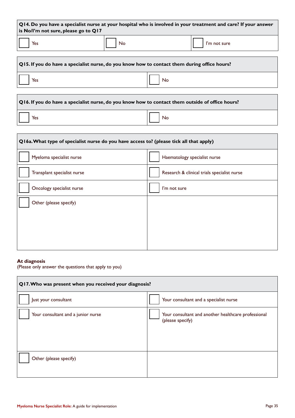| $\vert$ Q14. Do you have a specialist nurse at your hospital who is involved in your treatment and care? If your answer<br>is No/I'm not sure, please go to Q17 |    |              |  |  |  |
|-----------------------------------------------------------------------------------------------------------------------------------------------------------------|----|--------------|--|--|--|
| Yes                                                                                                                                                             | No | I'm not sure |  |  |  |

| Q15. If you do have a specialist nurse, do you know how to contact them during office hours? |     |  |  |
|----------------------------------------------------------------------------------------------|-----|--|--|
| Yes                                                                                          | No. |  |  |
|                                                                                              |     |  |  |

| Q16. If you do have a specialist nurse, do you know how to contact them outside of office hours? |       |  |  |  |
|--------------------------------------------------------------------------------------------------|-------|--|--|--|
| Yes                                                                                              | No No |  |  |  |

| Q16a. What type of specialist nurse do you have access to? (please tick all that apply) |                                             |  |  |  |
|-----------------------------------------------------------------------------------------|---------------------------------------------|--|--|--|
| Myeloma specialist nurse                                                                | Haematology specialist nurse                |  |  |  |
| Transplant specialist nurse                                                             | Research & clinical trials specialist nurse |  |  |  |
| Oncology specialist nurse                                                               | I'm not sure                                |  |  |  |
| Other (please specify)                                                                  |                                             |  |  |  |
|                                                                                         |                                             |  |  |  |
|                                                                                         |                                             |  |  |  |
|                                                                                         |                                             |  |  |  |

#### **At diagnosis**

(Please only answer the questions that apply to you)

| Q17. Who was present when you received your diagnosis? |                                                                         |  |  |  |  |
|--------------------------------------------------------|-------------------------------------------------------------------------|--|--|--|--|
| Just your consultant                                   | Your consultant and a specialist nurse                                  |  |  |  |  |
| Your consultant and a junior nurse                     | Your consultant and another healthcare professional<br>(please specify) |  |  |  |  |
| Other (please specify)                                 |                                                                         |  |  |  |  |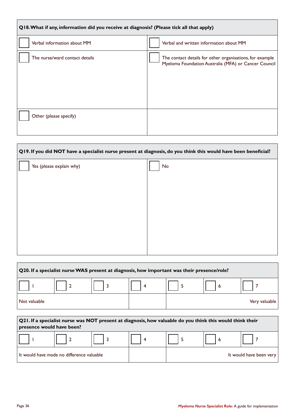| Q18. What if any, information did you receive at diagnosis? (Please tick all that apply) |                                                                                                                  |  |  |  |  |
|------------------------------------------------------------------------------------------|------------------------------------------------------------------------------------------------------------------|--|--|--|--|
| Verbal information about MM                                                              | Verbal and written information about MM                                                                          |  |  |  |  |
| The nurse/ward contact details                                                           | The contact details for other organisations, for example<br>Myeloma Foundation Australia (MFA) or Cancer Council |  |  |  |  |
| Other (please specify)                                                                   |                                                                                                                  |  |  |  |  |

| Q19. If you did NOT have a specialist nurse present at diagnosis, do you think this would have been beneficial? |    |  |  |  |  |
|-----------------------------------------------------------------------------------------------------------------|----|--|--|--|--|
| Yes (please explain why)                                                                                        | No |  |  |  |  |
|                                                                                                                 |    |  |  |  |  |
|                                                                                                                 |    |  |  |  |  |
|                                                                                                                 |    |  |  |  |  |
|                                                                                                                 |    |  |  |  |  |
|                                                                                                                 |    |  |  |  |  |
|                                                                                                                 |    |  |  |  |  |

| Q20. If a specialist nurse WAS present at diagnosis, how important was their presence/role? |                                                                                                                                        |   |   |   |   |                         |
|---------------------------------------------------------------------------------------------|----------------------------------------------------------------------------------------------------------------------------------------|---|---|---|---|-------------------------|
|                                                                                             |                                                                                                                                        |   | 4 | 5 | 6 | 7                       |
| Not valuable                                                                                |                                                                                                                                        |   |   |   |   | Very valuable           |
|                                                                                             |                                                                                                                                        |   |   |   |   |                         |
|                                                                                             | Q21. If a specialist nurse was NOT present at diagnosis, how valuable do you think this would think their<br>presence would have been? |   |   |   |   |                         |
|                                                                                             |                                                                                                                                        | 3 | 4 | 5 | 6 |                         |
|                                                                                             | It would have made no difference valuable                                                                                              |   |   |   |   | It would have been very |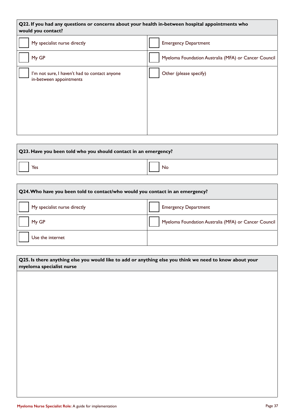| Q22. If you had any questions or concerns about your health in-between hospital appointments who<br>would you contact? |                                                      |  |
|------------------------------------------------------------------------------------------------------------------------|------------------------------------------------------|--|
| My specialist nurse directly                                                                                           | <b>Emergency Department</b>                          |  |
| My GP                                                                                                                  | Myeloma Foundation Australia (MFA) or Cancer Council |  |
| I'm not sure, I haven't had to contact anyone<br>in-between appointments                                               | Other (please specify)                               |  |

| Q23. Have you been told who you should contact in an emergency? |    |
|-----------------------------------------------------------------|----|
| Yes                                                             | No |

| Q24. Who have you been told to contact/who would you contact in an emergency? |                                                      |  |
|-------------------------------------------------------------------------------|------------------------------------------------------|--|
| My specialist nurse directly                                                  | <b>Emergency Department</b>                          |  |
| My GP                                                                         | Myeloma Foundation Australia (MFA) or Cancer Council |  |
| Use the internet                                                              |                                                      |  |

| Q25. Is there anything else you would like to add or anything else you think we need to know about your<br>myeloma specialist nurse |  |  |
|-------------------------------------------------------------------------------------------------------------------------------------|--|--|
|                                                                                                                                     |  |  |
|                                                                                                                                     |  |  |
|                                                                                                                                     |  |  |
|                                                                                                                                     |  |  |
|                                                                                                                                     |  |  |
|                                                                                                                                     |  |  |
|                                                                                                                                     |  |  |
|                                                                                                                                     |  |  |

 $\mathsf{r}$ 

٦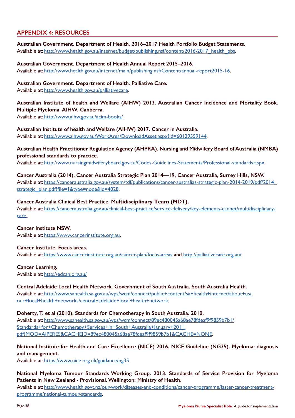#### **APPENDIX 4: RESOURCES**

**Australian Government. Department of Health. 2016–2017 Health Portfolio Budget Statements.**  Available at: http://www.health.gov.au/internet/budget/publishing.nsf/content/2016-2017\_health\_pbs.

**Australian Government. Department of Health Annual Report 2015–2016.**  Available at: http://www.health.gov.au/internet/main/publishing.nsf/Content/annual-report2015-16.

**Australian Government. Department of Health. Palliative Care.**  Available at: http://www.health.gov.au/palliativecare.

#### **Australian Institute of health and Welfare (AIHW) 2013. Australian Cancer Incidence and Mortality Book. Multiple Myeloma. AIHW. Canberra.**

Available at: http://www.aihw.gov.au/acim-books/

**Australian Institute of health and Welfare (AIHW) 2017. Cancer in Australia.**  Available at: http://www.aihw.gov.au/WorkArea/DownloadAsset.aspx?id=60129559144.

#### **Australian Health Practitioner Regulation Agency (AHPRA). Nursing and Midwifery Board of Australia (NMBA) professional standards to practice.**

Available at: http://www.nursingmidwiferyboard.gov.au/Codes-Guidelines-Statements/Professional-standards.aspx.

**Cancer Australia (2014). Cancer Australia Strategic Plan 2014—19, Cancer Australia, Surrey Hills, NSW.**  Available at: https://canceraustralia.gov.au/system/tdf/publications/cancer-australias-strategic-plan-2014-2019/pdf/2014\_ strategic\_plan.pdf?file=1&type=node&id=4028.

#### **Cancer Australia Clinical Best Practice. Multidisciplinary Team (MDT).**

Available at: https://canceraustralia.gov.au/clinical-best-practice/service-delivery/key-elements-cannet/multidisciplinarycare.

**Cancer Institute NSW.** 

Available at: https://www.cancerinstitute.org.au.

**Cancer Institute. Focus areas.** 

Available at: https://www.cancerinstitute.org.au/cancer-plan/focus-areas and http://palliativecare.org.au/.

**Cancer Learning.** 

Available at: http://edcan.org.au/

#### **Central Adelaide Local Health Network. Government of South Australia. South Australia Health.**

Available at: http://www.sahealth.sa.gov.au/wps/wcm/connect/public+content/sa+health+internet/about+us/ our+local+health+networks/central+adelaide+local+health+network.

**Doherty, T. et al (2010). Standards for Chemotherapy in South Australia. 2010.**  Available at: http://www.sahealth.sa.gov.au/wps/wcm/connect/89ec480045a68ae78fdeaf9f9859b7b1/ Standards+for+Chemotherapy+Services+in+South+Australia+January+2011.

pdf?MOD=AJPERES&CACHEID=89ec480045a68ae78fdeaf9f9859b7b1&CACHE=NONE.

**National Institute for Health and Care Excellence (NICE) 2016. NICE Guideline (NG35). Myeloma: diagnosis and management.**

Available at: https://www.nice.org.uk/guidance/ng35.

**National Myeloma Tumour Standards Working Group. 2013. Standards of Service Provision for Myeloma Patients in New Zealand - Provisional. Wellington: Ministry of Health.** 

Available at: http://www.health.govt.nz/our-work/diseases-and-conditions/cancer-programme/faster-cancer-treatmentprogramme/national-tumour-standards.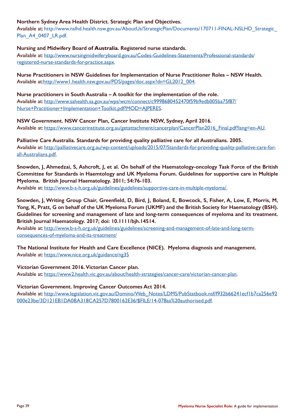#### **Northern Sydney Area Health District. Strategic Plan and Objectives.**

Available at: http://www.nslhd.health.nsw.gov.au/AboutUs/StrategicPlan/Documents/170711-FINAL-NSLHD\_Strategic\_ Plan\_A4\_0407\_LR.pdf.

#### **Nursing and Midwifery Board of Australia. Registered nurse standards.**

Available at: http://www.nursingmidwiferyboard.gov.au/Codes-Guidelines-Statements/Professional-standards/ registered-nurse-standards-for-practice.aspx.

**Nurse Practitioners in NSW Guidelines for Implementation of Nurse Practitioner Roles – NSW Health.**  Available at:http://www1.health.nsw.gov.au/PDS/pages/doc.aspx?dn=GL2012\_004.

#### **Nurse practitioners in South Australia – A toolkit for the implementation of the role.**

Available at: http://www.sahealth.sa.gov.au/wps/wcm/connect/c9998680452470f59b9edb005ba75f87/ Nurse+Practitioner+Implementation+Toolkit.pdf?MOD=AJPERES.

**NSW Government. NSW Cancer Plan, Cancer Institute NSW, Sydney, April 2016.**  Available at: https://www.cancerinstitute.org.au/getattachment/cancerplan/CancerPlan2016\_Final.pdf?lang=en-AU.

**Palliative Care Australia. Standards for providing quality palliative care for all Australians. 2005.**  Available at: http://palliativecare.org.au/wp-content/uploads/2015/07/Standards-for-providing-quality-palliative-care-forall-Australians.pdf.

**Snowden, J, Ahmedzai, S, Ashcroft, J, et al. On behalf of the Haematology-oncology Task Force of the British Committee for Standards in Haemtology and UK Myeloma Forum. Guidelines for supportive care in Multiple Myeloma. British Journal Haematology. 2011; 54:76-103.** 

Available at: http://www.b-s-h.org.uk/guidelines/guidelines/supportive-care-in-multiple-myeloma/.

Snowden, J. Writing Group Chair, Greenfield, D. Bird, J. Boland, E. Bowcock, S. Fisher, A. Low, E. Morris, M. **Yong, K, Pratt, G on behalf of the UK Myeloma Forum (UKMF) and the British Society for Haematology (BSH). Guidelines for screening and management of late and long-term consequences of myeloma and its treatment. British Journal Haematology. 2017; doi: 10.1111/bjh.14514.** 

Available at: http://www.b-s-h.org.uk/guidelines/guidelines/screening-and-management-of-late-and-long-termconsequences-of-myeloma-and-its-treatment/

**The National Institute for Health and Care Excellence (NICE). Myeloma diagnosis and management.**  Available at: https://www.nice.org.uk/guidance/ng35

**Victorian Government 2016. Victorian Cancer plan.** 

Available at: https://www2.health.vic.gov.au/about/health-strategies/cancer-care/victorian-cancer-plan.

#### **Victorian Government. Improving Cancer Outcomes Act 2014.**

Available at: http://www.legislation.vic.gov.au/Domino/Web\_Notes/LDMS/PubStatbook.nsf/f932b66241ecf1b7ca256e92 000e23be/3D121EB1DA0BA318CA257D7800162E36/\$FILE/14-078aa%20authorised.pdf.